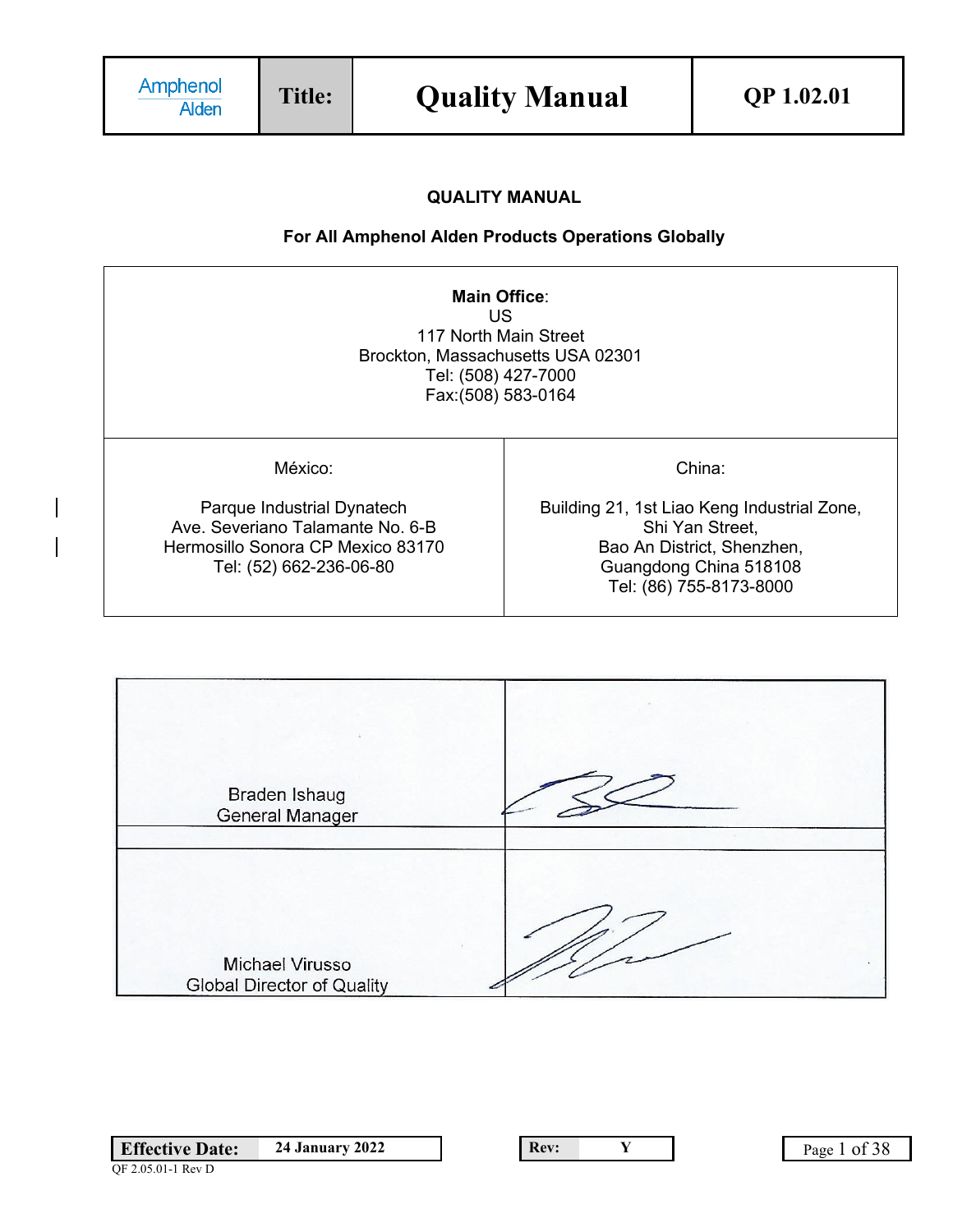# **QUALITY MANUAL**

# **For All Amphenol Alden Products Operations Globally**

| Main Office:<br>US<br>117 North Main Street<br>Brockton, Massachusetts USA 02301<br>Tel: (508) 427-7000<br>Fax: (508) 583-0164            |                                                                                                                                                             |  |  |  |
|-------------------------------------------------------------------------------------------------------------------------------------------|-------------------------------------------------------------------------------------------------------------------------------------------------------------|--|--|--|
| México:<br>Parque Industrial Dynatech<br>Ave. Severiano Talamante No. 6-B<br>Hermosillo Sonora CP Mexico 83170<br>Tel: (52) 662-236-06-80 | China:<br>Building 21, 1st Liao Keng Industrial Zone,<br>Shi Yan Street,<br>Bao An District, Shenzhen,<br>Guangdong China 518108<br>Tel: (86) 755-8173-8000 |  |  |  |

| Braden Ishaug<br><b>General Manager</b>       |  |
|-----------------------------------------------|--|
| Michael Virusso<br>Global Director of Quality |  |

| <b>Effective Date:</b> | <b>24 January 2022</b> |
|------------------------|------------------------|
| QF 2.05.01-1 Rev D     |                        |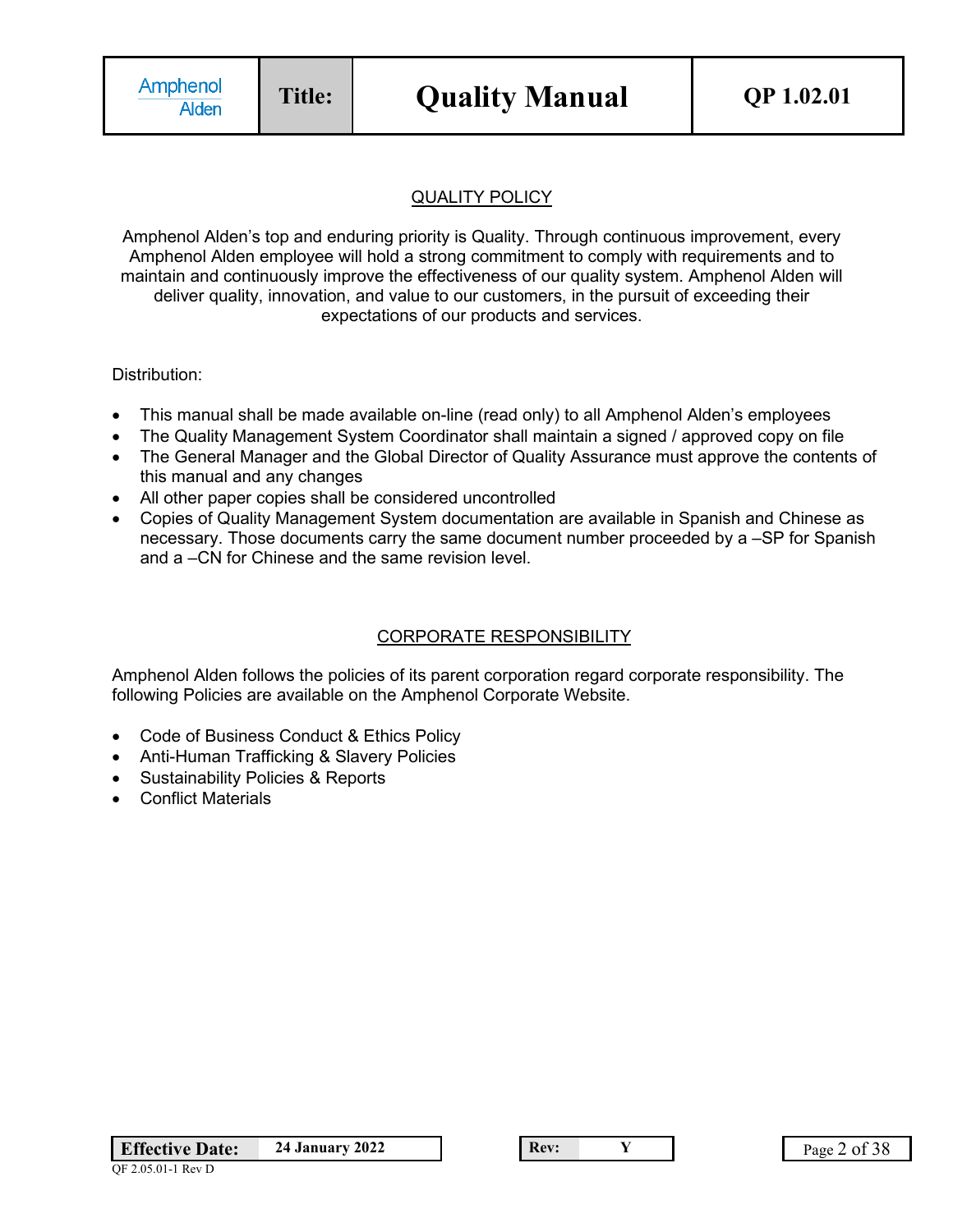# QUALITY POLICY

Amphenol Alden's top and enduring priority is Quality. Through continuous improvement, every Amphenol Alden employee will hold a strong commitment to comply with requirements and to maintain and continuously improve the effectiveness of our quality system. Amphenol Alden will deliver quality, innovation, and value to our customers, in the pursuit of exceeding their expectations of our products and services.

Distribution:

- This manual shall be made available on-line (read only) to all Amphenol Alden's employees
- The Quality Management System Coordinator shall maintain a signed / approved copy on file
- The General Manager and the Global Director of Quality Assurance must approve the contents of this manual and any changes
- All other paper copies shall be considered uncontrolled
- Copies of Quality Management System documentation are available in Spanish and Chinese as necessary. Those documents carry the same document number proceeded by a –SP for Spanish and a –CN for Chinese and the same revision level.

## CORPORATE RESPONSIBILITY

Amphenol Alden follows the policies of its parent corporation regard corporate responsibility. The following Policies are available on the Amphenol Corporate Website.

- Code of Business Conduct & Ethics Policy
- Anti-Human Trafficking & Slavery Policies
- Sustainability Policies & Reports
- **Conflict Materials**

**Effective Date:** 24 January 2022 **Rev: Y** Page 2 of 38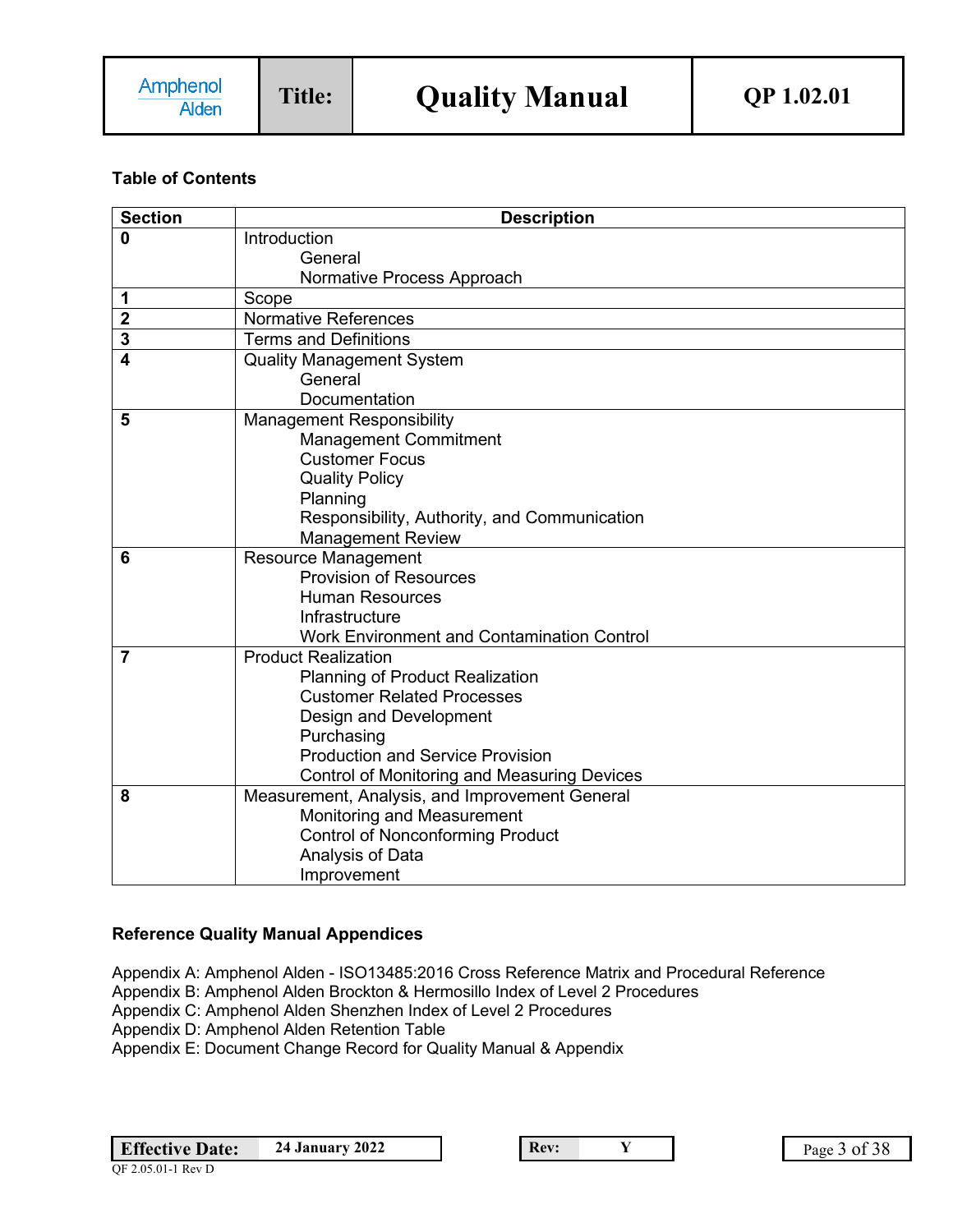# **Table of Contents**

| <b>Section</b> | <b>Description</b>                                                          |
|----------------|-----------------------------------------------------------------------------|
| 0              | Introduction                                                                |
|                | General                                                                     |
|                | Normative Process Approach                                                  |
| 1              | Scope                                                                       |
| $\overline{2}$ | <b>Normative References</b>                                                 |
| 3              | <b>Terms and Definitions</b>                                                |
| $\overline{4}$ | <b>Quality Management System</b>                                            |
|                | General                                                                     |
|                | Documentation                                                               |
| 5              | <b>Management Responsibility</b>                                            |
|                | <b>Management Commitment</b>                                                |
|                | <b>Customer Focus</b>                                                       |
|                | <b>Quality Policy</b>                                                       |
|                | Planning                                                                    |
|                | Responsibility, Authority, and Communication                                |
|                | <b>Management Review</b>                                                    |
| 6              | <b>Resource Management</b>                                                  |
|                | <b>Provision of Resources</b>                                               |
|                | <b>Human Resources</b>                                                      |
|                | Infrastructure                                                              |
|                | <b>Work Environment and Contamination Control</b>                           |
| $\overline{7}$ | <b>Product Realization</b>                                                  |
|                | <b>Planning of Product Realization</b><br><b>Customer Related Processes</b> |
|                |                                                                             |
|                | Design and Development<br>Purchasing                                        |
|                | <b>Production and Service Provision</b>                                     |
|                | Control of Monitoring and Measuring Devices                                 |
| 8              | Measurement, Analysis, and Improvement General                              |
|                | Monitoring and Measurement                                                  |
|                | <b>Control of Nonconforming Product</b>                                     |
|                | Analysis of Data                                                            |
|                | Improvement                                                                 |

## **Reference Quality Manual Appendices**

Appendix A: Amphenol Alden - ISO13485:2016 Cross Reference Matrix and Procedural Reference Appendix B: Amphenol Alden Brockton & Hermosillo Index of Level 2 Procedures Appendix C: Amphenol Alden Shenzhen Index of Level 2 Procedures Appendix D: Amphenol Alden Retention Table Appendix E: Document Change Record for Quality Manual & Appendix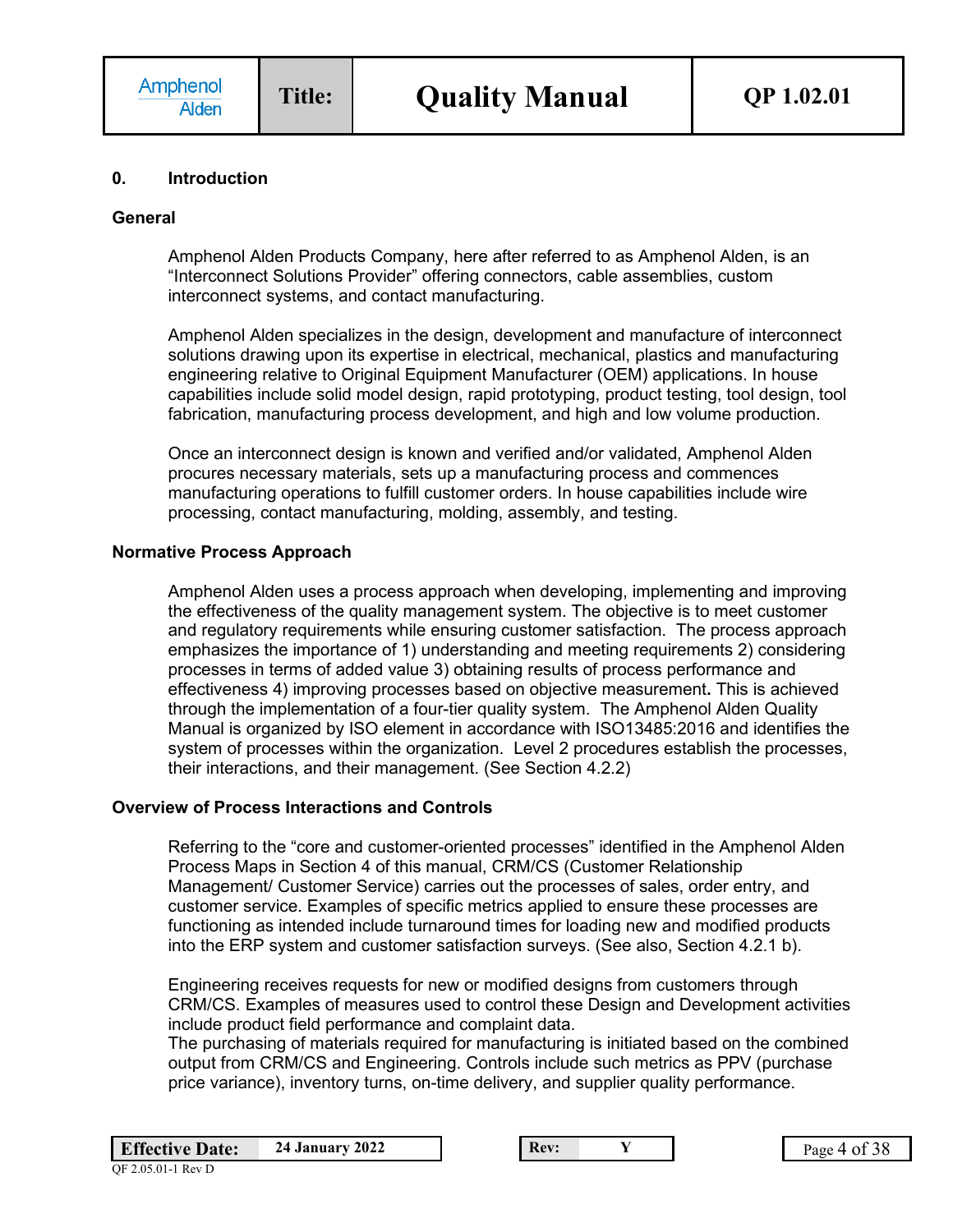#### **0. Introduction**

#### **General**

Amphenol Alden Products Company, here after referred to as Amphenol Alden, is an "Interconnect Solutions Provider" offering connectors, cable assemblies, custom interconnect systems, and contact manufacturing.

Amphenol Alden specializes in the design, development and manufacture of interconnect solutions drawing upon its expertise in electrical, mechanical, plastics and manufacturing engineering relative to Original Equipment Manufacturer (OEM) applications. In house capabilities include solid model design, rapid prototyping, product testing, tool design, tool fabrication, manufacturing process development, and high and low volume production.

Once an interconnect design is known and verified and/or validated, Amphenol Alden procures necessary materials, sets up a manufacturing process and commences manufacturing operations to fulfill customer orders. In house capabilities include wire processing, contact manufacturing, molding, assembly, and testing.

### **Normative Process Approach**

Amphenol Alden uses a process approach when developing, implementing and improving the effectiveness of the quality management system. The objective is to meet customer and regulatory requirements while ensuring customer satisfaction. The process approach emphasizes the importance of 1) understanding and meeting requirements 2) considering processes in terms of added value 3) obtaining results of process performance and effectiveness 4) improving processes based on objective measurement**.** This is achieved through the implementation of a four-tier quality system. The Amphenol Alden Quality Manual is organized by ISO element in accordance with ISO13485:2016 and identifies the system of processes within the organization. Level 2 procedures establish the processes, their interactions, and their management. (See Section 4.2.2)

#### **Overview of Process Interactions and Controls**

Referring to the "core and customer-oriented processes" identified in the Amphenol Alden Process Maps in Section 4 of this manual, CRM/CS (Customer Relationship Management/ Customer Service) carries out the processes of sales, order entry, and customer service. Examples of specific metrics applied to ensure these processes are functioning as intended include turnaround times for loading new and modified products into the ERP system and customer satisfaction surveys. (See also, Section 4.2.1 b).

Engineering receives requests for new or modified designs from customers through CRM/CS. Examples of measures used to control these Design and Development activities include product field performance and complaint data.

The purchasing of materials required for manufacturing is initiated based on the combined output from CRM/CS and Engineering. Controls include such metrics as PPV (purchase price variance), inventory turns, on-time delivery, and supplier quality performance.

| <b>Effective Date:</b> | <b>24 January 2022</b> | Rev: |  | $^{\circ}38$<br>$P$ age 4 01 |
|------------------------|------------------------|------|--|------------------------------|
| OF 2.05.01-1 Rev D     |                        |      |  |                              |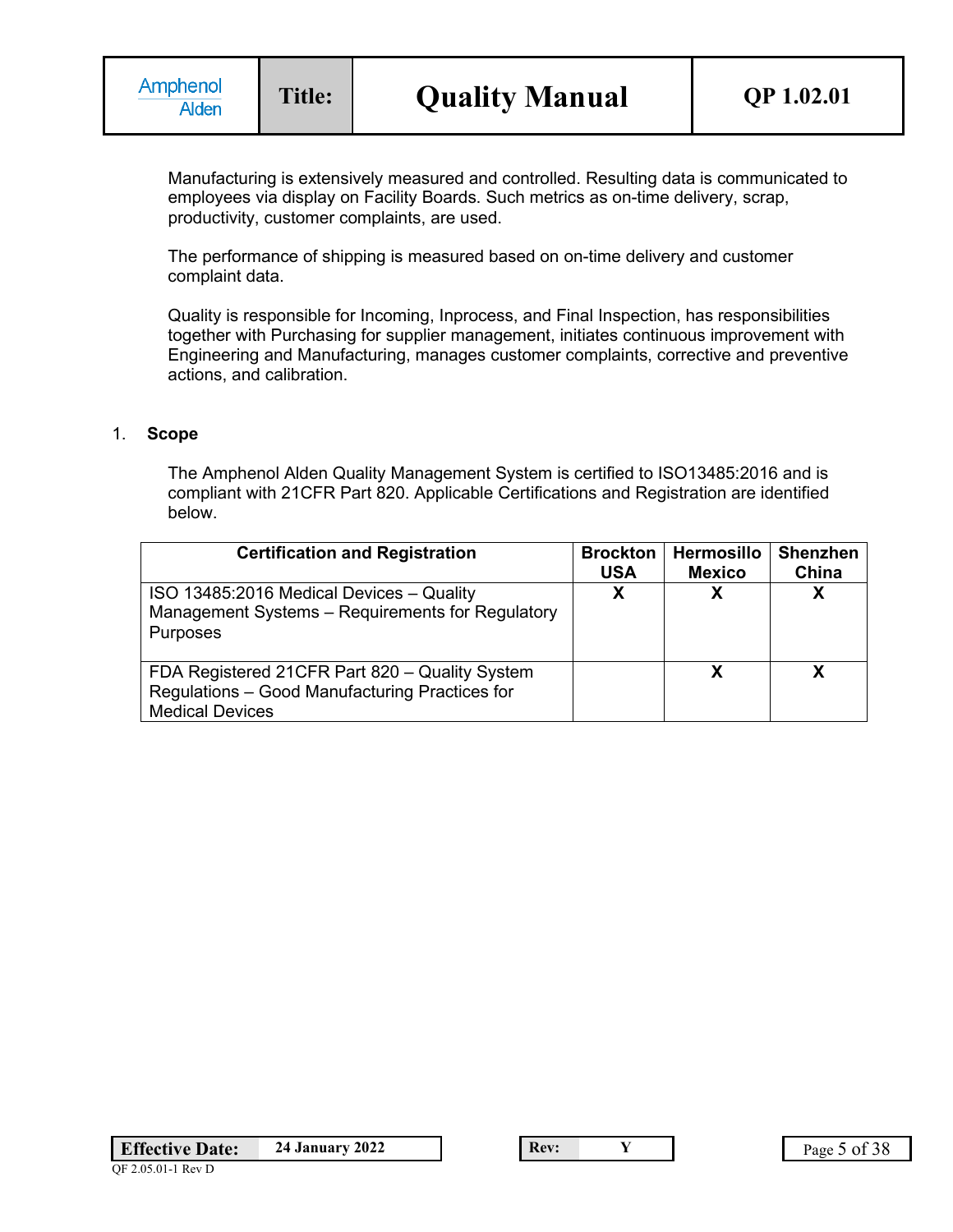Manufacturing is extensively measured and controlled. Resulting data is communicated to employees via display on Facility Boards. Such metrics as on-time delivery, scrap, productivity, customer complaints, are used.

The performance of shipping is measured based on on-time delivery and customer complaint data.

Quality is responsible for Incoming, Inprocess, and Final Inspection, has responsibilities together with Purchasing for supplier management, initiates continuous improvement with Engineering and Manufacturing, manages customer complaints, corrective and preventive actions, and calibration.

#### 1. **Scope**

The Amphenol Alden Quality Management System is certified to ISO13485:2016 and is compliant with 21CFR Part 820. Applicable Certifications and Registration are identified below.

| <b>Certification and Registration</b>                                                                                      | <b>Brockton</b><br><b>USA</b> | <b>Hermosillo</b><br><b>Mexico</b> | <b>Shenzhen</b><br>China |
|----------------------------------------------------------------------------------------------------------------------------|-------------------------------|------------------------------------|--------------------------|
| ISO 13485:2016 Medical Devices - Quality<br>Management Systems - Requirements for Regulatory<br>Purposes                   |                               |                                    | Х                        |
| FDA Registered 21CFR Part 820 - Quality System<br>Regulations - Good Manufacturing Practices for<br><b>Medical Devices</b> |                               |                                    | x                        |

QF 2.05.01-1 Rev D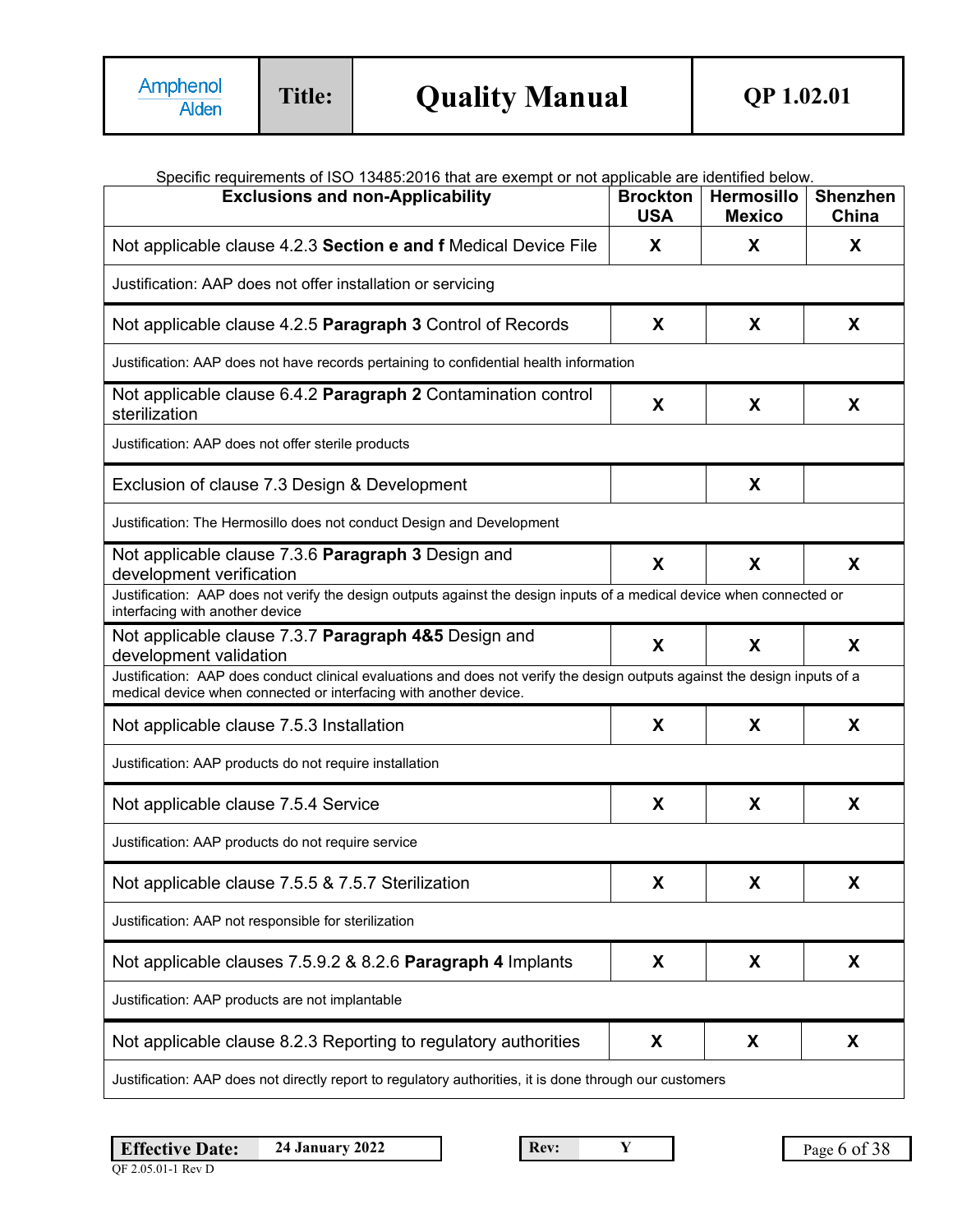|  |  |  |  | Specific requirements of ISO 13485:2016 that are exempt or not applicable are identified below. |  |
|--|--|--|--|-------------------------------------------------------------------------------------------------|--|
|  |  |  |  |                                                                                                 |  |
|  |  |  |  |                                                                                                 |  |

| Specific requirements of ISO 13485.2016 that are exempt or not applicable are identified below.<br><b>Exclusions and non-Applicability</b>                                                      | <b>Brockton</b><br><b>USA</b> | <b>Hermosillo</b><br><b>Mexico</b> | <b>Shenzhen</b><br>China |
|-------------------------------------------------------------------------------------------------------------------------------------------------------------------------------------------------|-------------------------------|------------------------------------|--------------------------|
| Not applicable clause 4.2.3 Section e and f Medical Device File                                                                                                                                 | X                             | X                                  | X                        |
| Justification: AAP does not offer installation or servicing                                                                                                                                     |                               |                                    |                          |
| Not applicable clause 4.2.5 Paragraph 3 Control of Records                                                                                                                                      | X                             | X                                  | X                        |
| Justification: AAP does not have records pertaining to confidential health information                                                                                                          |                               |                                    |                          |
| Not applicable clause 6.4.2 Paragraph 2 Contamination control<br>sterilization                                                                                                                  | X                             | X                                  | X                        |
| Justification: AAP does not offer sterile products                                                                                                                                              |                               |                                    |                          |
| Exclusion of clause 7.3 Design & Development                                                                                                                                                    |                               | X                                  |                          |
| Justification: The Hermosillo does not conduct Design and Development                                                                                                                           |                               |                                    |                          |
| Not applicable clause 7.3.6 Paragraph 3 Design and<br>development verification                                                                                                                  | X                             | X                                  | X                        |
| Justification: AAP does not verify the design outputs against the design inputs of a medical device when connected or<br>interfacing with another device                                        |                               |                                    |                          |
| Not applicable clause 7.3.7 Paragraph 4&5 Design and<br>development validation                                                                                                                  | X                             | X                                  | X                        |
| Justification: AAP does conduct clinical evaluations and does not verify the design outputs against the design inputs of a<br>medical device when connected or interfacing with another device. |                               |                                    |                          |
| Not applicable clause 7.5.3 Installation                                                                                                                                                        | X                             | X                                  | X                        |
| Justification: AAP products do not require installation                                                                                                                                         |                               |                                    |                          |
| Not applicable clause 7.5.4 Service                                                                                                                                                             | X                             | X                                  | X                        |
| Justification: AAP products do not require service                                                                                                                                              |                               |                                    |                          |
| Not applicable clause 7.5.5 & 7.5.7 Sterilization                                                                                                                                               | X                             | X                                  | X                        |
| Justification: AAP not responsible for sterilization                                                                                                                                            |                               |                                    |                          |
| Not applicable clauses 7.5.9.2 & 8.2.6 Paragraph 4 Implants                                                                                                                                     | X                             | X                                  | X                        |
| Justification: AAP products are not implantable                                                                                                                                                 |                               |                                    |                          |
| Not applicable clause 8.2.3 Reporting to regulatory authorities                                                                                                                                 | X                             | X                                  | X                        |
| Justification: AAP does not directly report to regulatory authorities, it is done through our customers                                                                                         |                               |                                    |                          |

**Effective Date: 24 January 2022 Rev: Y** Page 6 of 38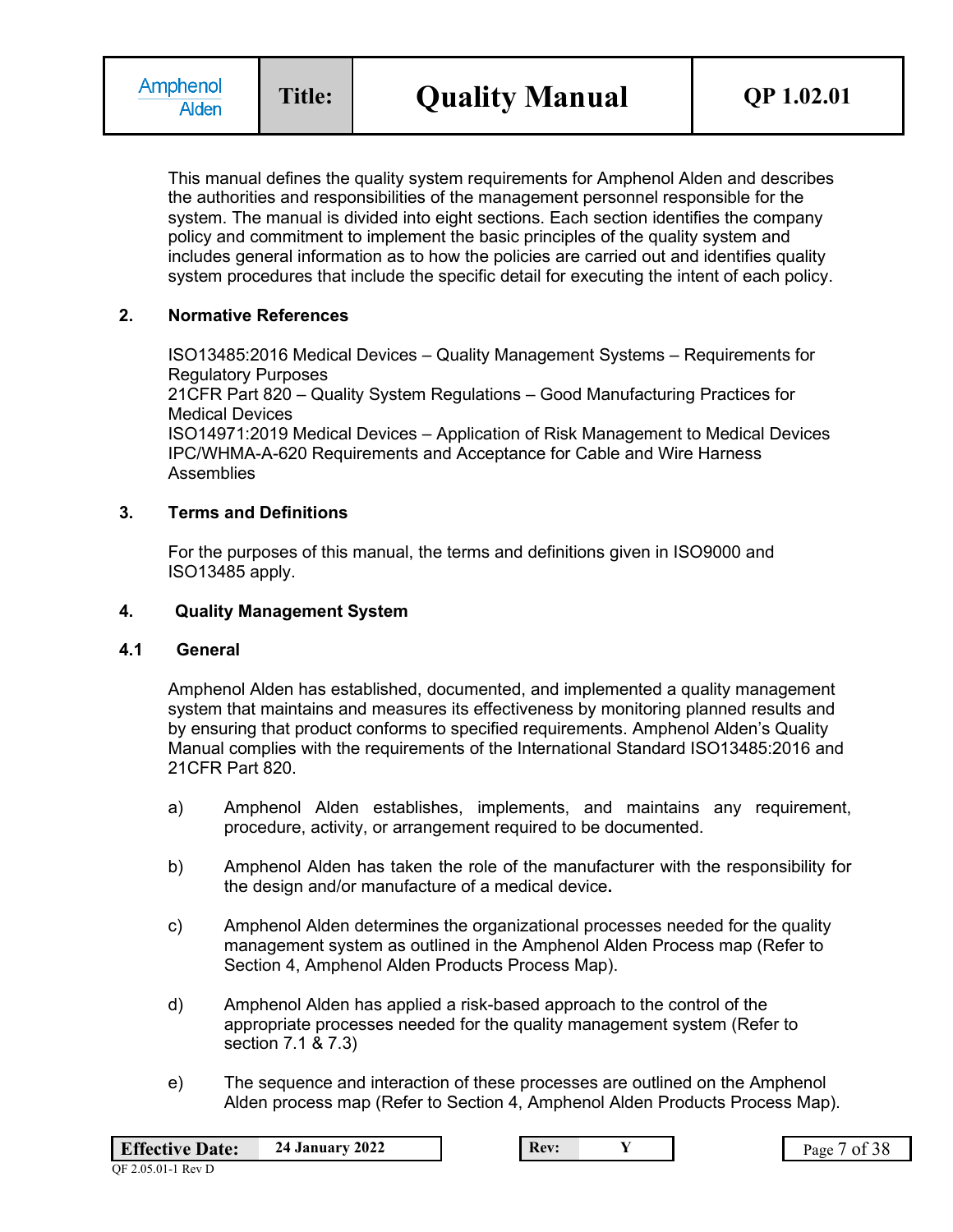This manual defines the quality system requirements for Amphenol Alden and describes the authorities and responsibilities of the management personnel responsible for the system. The manual is divided into eight sections. Each section identifies the company policy and commitment to implement the basic principles of the quality system and includes general information as to how the policies are carried out and identifies quality system procedures that include the specific detail for executing the intent of each policy.

## **2. Normative References**

ISO13485:2016 Medical Devices – Quality Management Systems – Requirements for Regulatory Purposes 21CFR Part 820 – Quality System Regulations – Good Manufacturing Practices for Medical Devices ISO14971:2019 Medical Devices – Application of Risk Management to Medical Devices IPC/WHMA-A-620 Requirements and Acceptance for Cable and Wire Harness Assemblies

## **3. Terms and Definitions**

For the purposes of this manual, the terms and definitions given in ISO9000 and ISO13485 apply.

### **4. Quality Management System**

#### **4.1 General**

Amphenol Alden has established, documented, and implemented a quality management system that maintains and measures its effectiveness by monitoring planned results and by ensuring that product conforms to specified requirements. Amphenol Alden's Quality Manual complies with the requirements of the International Standard ISO13485:2016 and 21CFR Part 820.

- a) Amphenol Alden establishes, implements, and maintains any requirement, procedure, activity, or arrangement required to be documented.
- b) Amphenol Alden has taken the role of the manufacturer with the responsibility for the design and/or manufacture of a medical device**.**
- c) Amphenol Alden determines the organizational processes needed for the quality management system as outlined in the Amphenol Alden Process map (Refer to Section 4, Amphenol Alden Products Process Map).
- d) Amphenol Alden has applied a risk-based approach to the control of the appropriate processes needed for the quality management system (Refer to section 7.1 & 7.3)
- e) The sequence and interaction of these processes are outlined on the Amphenol Alden process map (Refer to Section 4, Amphenol Alden Products Process Map).

| <b>Effective Date:</b> | <b>24 January 2022</b> | Rev: |  | of 38<br>$P_{\text{age}}$ |
|------------------------|------------------------|------|--|---------------------------|
| OF 2.05.01-1 Rev D     |                        |      |  |                           |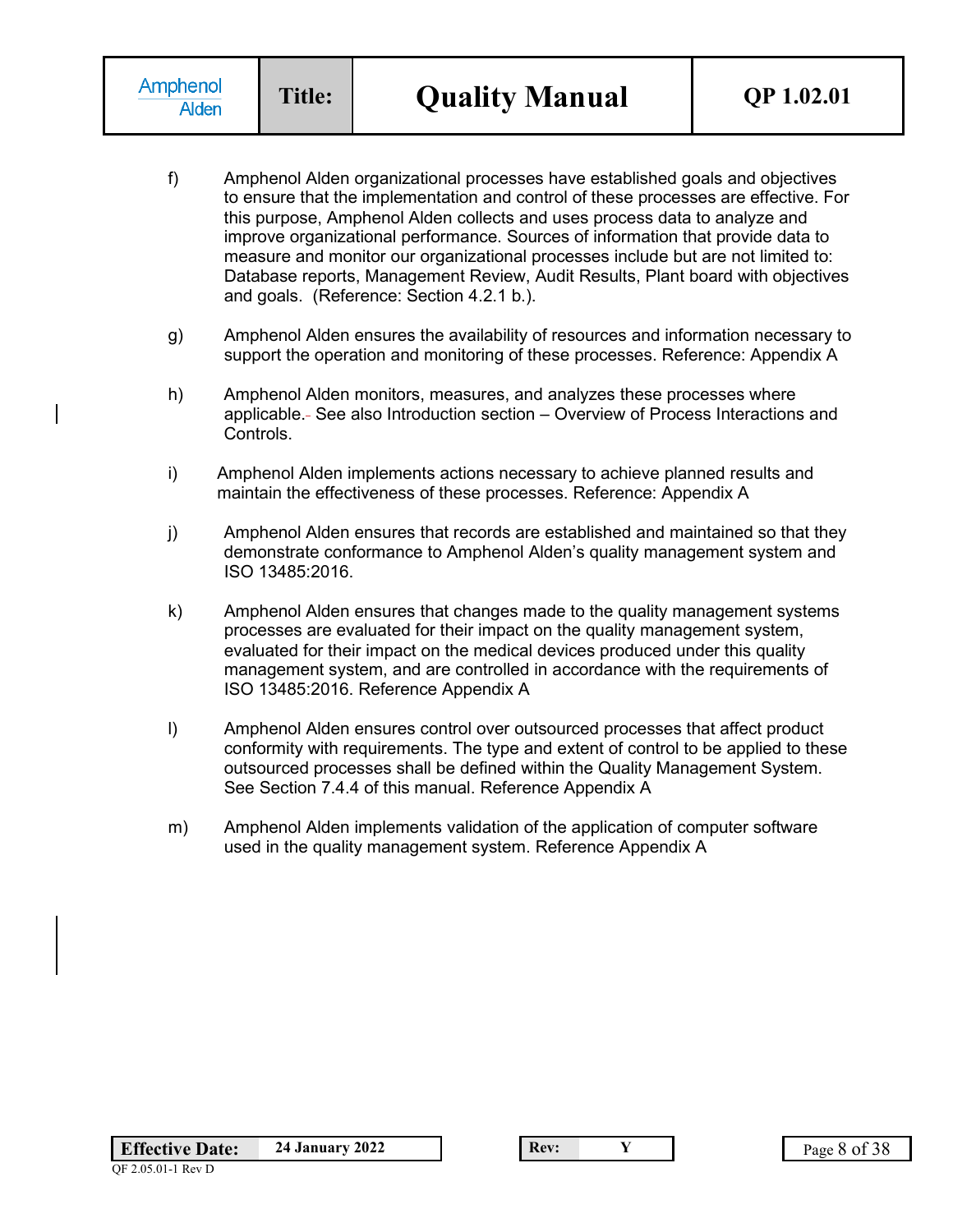- f) Amphenol Alden organizational processes have established goals and objectives to ensure that the implementation and control of these processes are effective. For this purpose, Amphenol Alden collects and uses process data to analyze and improve organizational performance. Sources of information that provide data to measure and monitor our organizational processes include but are not limited to: Database reports, Management Review, Audit Results, Plant board with objectives and goals. (Reference: Section 4.2.1 b.).
- g) Amphenol Alden ensures the availability of resources and information necessary to support the operation and monitoring of these processes. Reference: Appendix A
- h) Amphenol Alden monitors, measures, and analyzes these processes where applicable. See also Introduction section – Overview of Process Interactions and Controls.
- i) Amphenol Alden implements actions necessary to achieve planned results and maintain the effectiveness of these processes. Reference: Appendix A
- j) Amphenol Alden ensures that records are established and maintained so that they demonstrate conformance to Amphenol Alden's quality management system and ISO 13485:2016.
- k) Amphenol Alden ensures that changes made to the quality management systems processes are evaluated for their impact on the quality management system, evaluated for their impact on the medical devices produced under this quality management system, and are controlled in accordance with the requirements of ISO 13485:2016. Reference Appendix A
- l) Amphenol Alden ensures control over outsourced processes that affect product conformity with requirements. The type and extent of control to be applied to these outsourced processes shall be defined within the Quality Management System. See Section 7.4.4 of this manual. Reference Appendix A
- m) Amphenol Alden implements validation of the application of computer software used in the quality management system. Reference Appendix A

QF 2.05.01-1 Rev D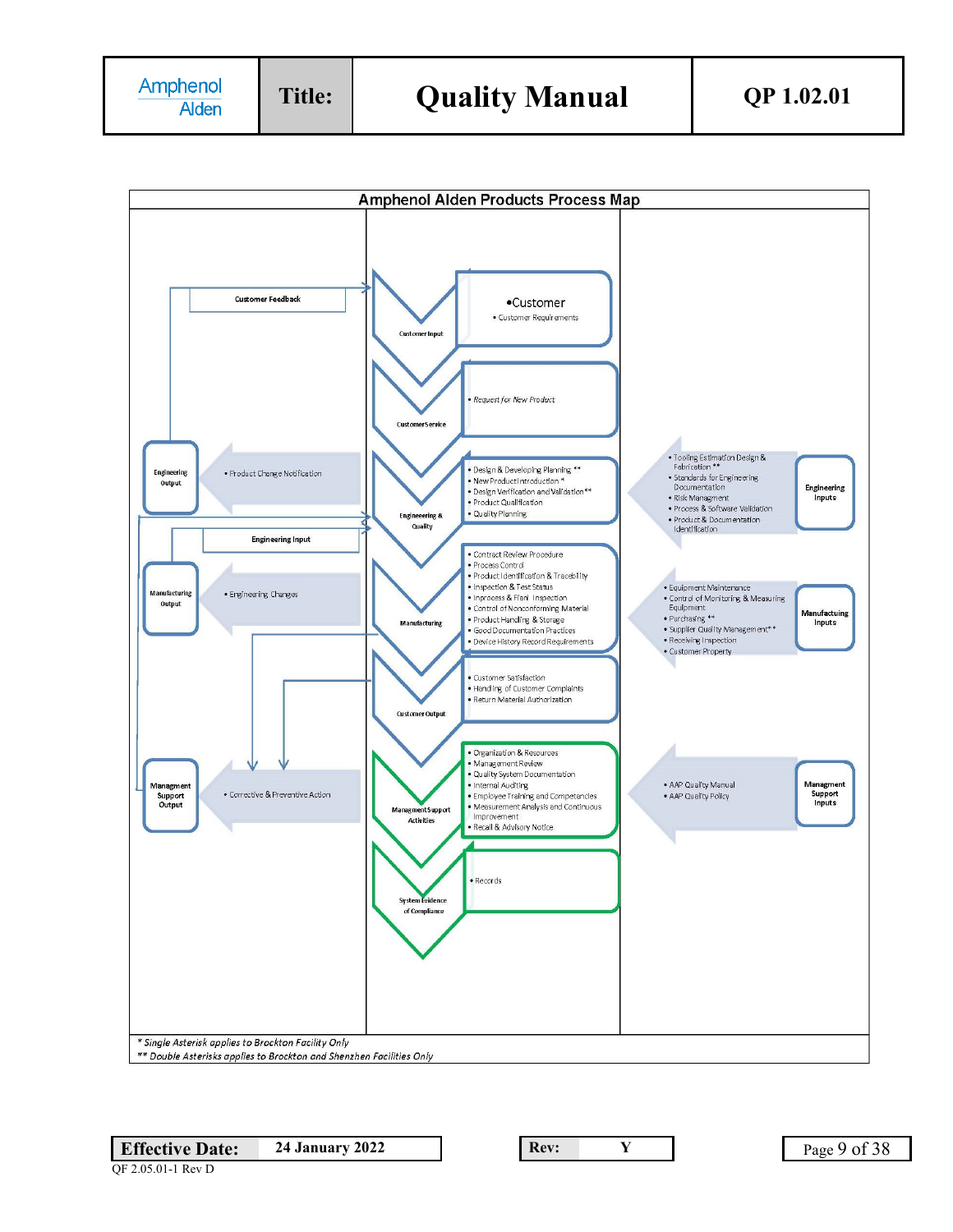

QF 2.05.01-1 Rev D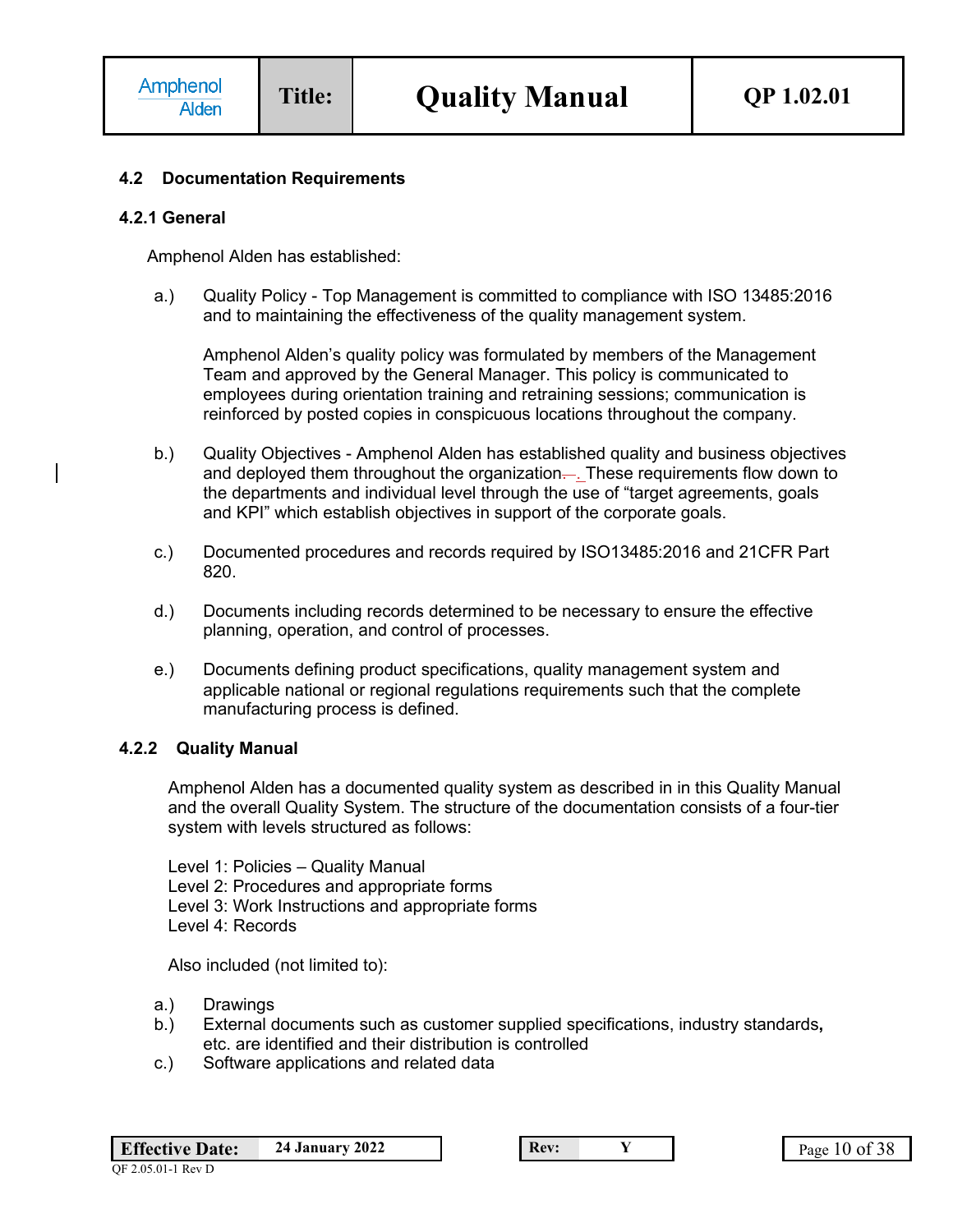### **4.2 Documentation Requirements**

#### **4.2.1 General**

Amphenol Alden has established:

a.) Quality Policy - Top Management is committed to compliance with ISO 13485:2016 and to maintaining the effectiveness of the quality management system.

Amphenol Alden's quality policy was formulated by members of the Management Team and approved by the General Manager. This policy is communicated to employees during orientation training and retraining sessions; communication is reinforced by posted copies in conspicuous locations throughout the company.

- b.) Quality Objectives Amphenol Alden has established quality and business objectives and deployed them throughout the organization.... These requirements flow down to the departments and individual level through the use of "target agreements, goals and KPI" which establish objectives in support of the corporate goals.
- c.) Documented procedures and records required by ISO13485:2016 and 21CFR Part 820.
- d.) Documents including records determined to be necessary to ensure the effective planning, operation, and control of processes.
- e.) Documents defining product specifications, quality management system and applicable national or regional regulations requirements such that the complete manufacturing process is defined.

#### **4.2.2 Quality Manual**

Amphenol Alden has a documented quality system as described in in this Quality Manual and the overall Quality System. The structure of the documentation consists of a four-tier system with levels structured as follows:

Level 1: Policies – Quality Manual Level 2: Procedures and appropriate forms Level 3: Work Instructions and appropriate forms Level 4: Records

Also included (not limited to):

- a.) Drawings
- b.) External documents such as customer supplied specifications, industry standards**,** etc. are identified and their distribution is controlled
- c.) Software applications and related data

**Effective Date:** 24 January 2022 **Rev: Rev: Y Rev: Page 10 of 38**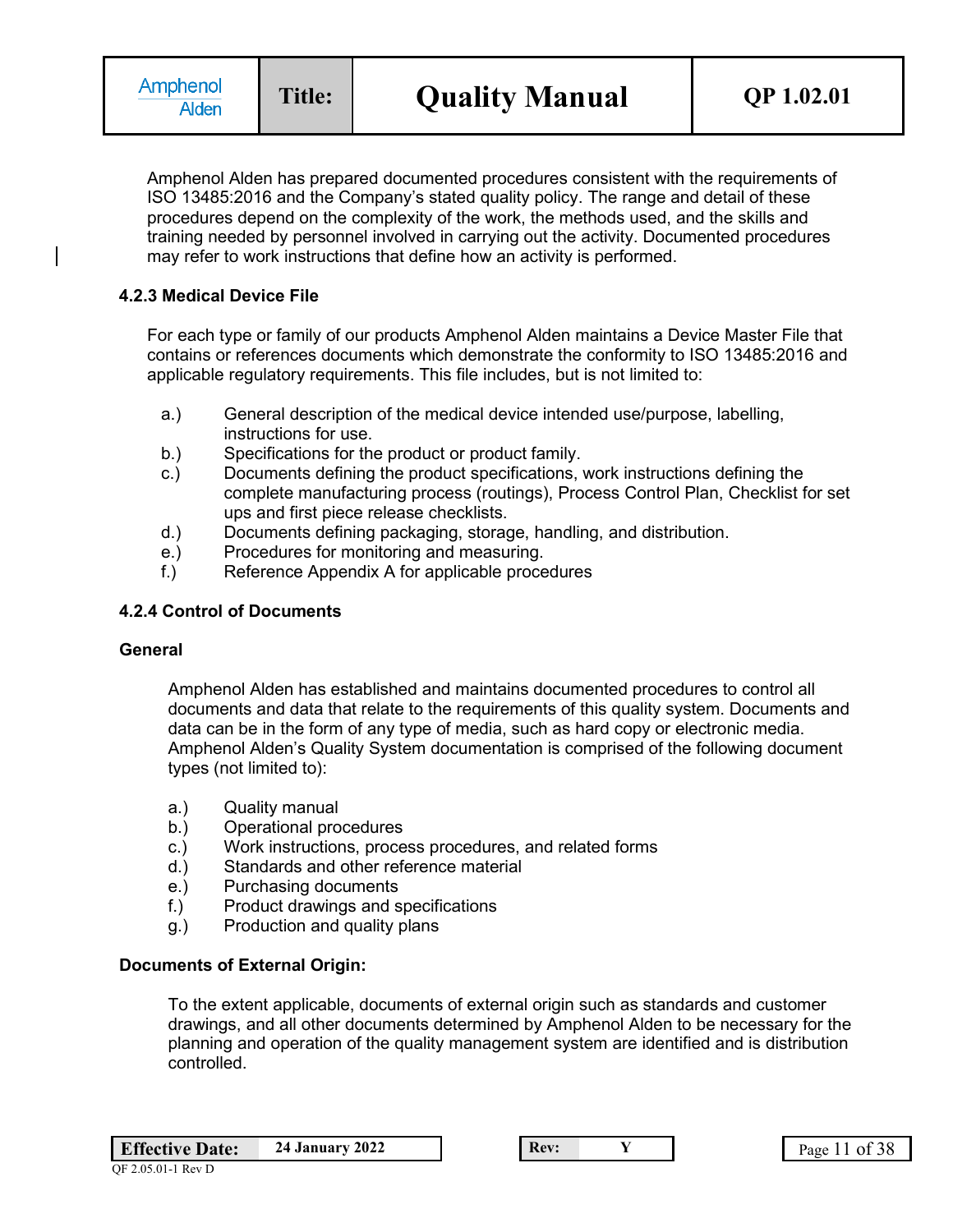Amphenol Alden has prepared documented procedures consistent with the requirements of ISO 13485:2016 and the Company's stated quality policy. The range and detail of these procedures depend on the complexity of the work, the methods used, and the skills and training needed by personnel involved in carrying out the activity. Documented procedures may refer to work instructions that define how an activity is performed.

### **4.2.3 Medical Device File**

For each type or family of our products Amphenol Alden maintains a Device Master File that contains or references documents which demonstrate the conformity to ISO 13485:2016 and applicable regulatory requirements. This file includes, but is not limited to:

- a.) General description of the medical device intended use/purpose, labelling, instructions for use.
- b.) Specifications for the product or product family.
- c.) Documents defining the product specifications, work instructions defining the complete manufacturing process (routings), Process Control Plan, Checklist for set ups and first piece release checklists.
- d.) Documents defining packaging, storage, handling, and distribution.
- e.) Procedures for monitoring and measuring.
- f.) Reference Appendix A for applicable procedures

#### **4.2.4 Control of Documents**

#### **General**

Amphenol Alden has established and maintains documented procedures to control all documents and data that relate to the requirements of this quality system. Documents and data can be in the form of any type of media, such as hard copy or electronic media. Amphenol Alden's Quality System documentation is comprised of the following document types (not limited to):

- a.) Quality manual
- b.) Operational procedures
- c.) Work instructions, process procedures, and related forms
- d.) Standards and other reference material
- e.) Purchasing documents
- f.) Product drawings and specifications
- g.) Production and quality plans

#### **Documents of External Origin:**

To the extent applicable, documents of external origin such as standards and customer drawings, and all other documents determined by Amphenol Alden to be necessary for the planning and operation of the quality management system are identified and is distribution controlled.

| <b>Effective Date:</b> | 24 January 2022 |
|------------------------|-----------------|
|                        |                 |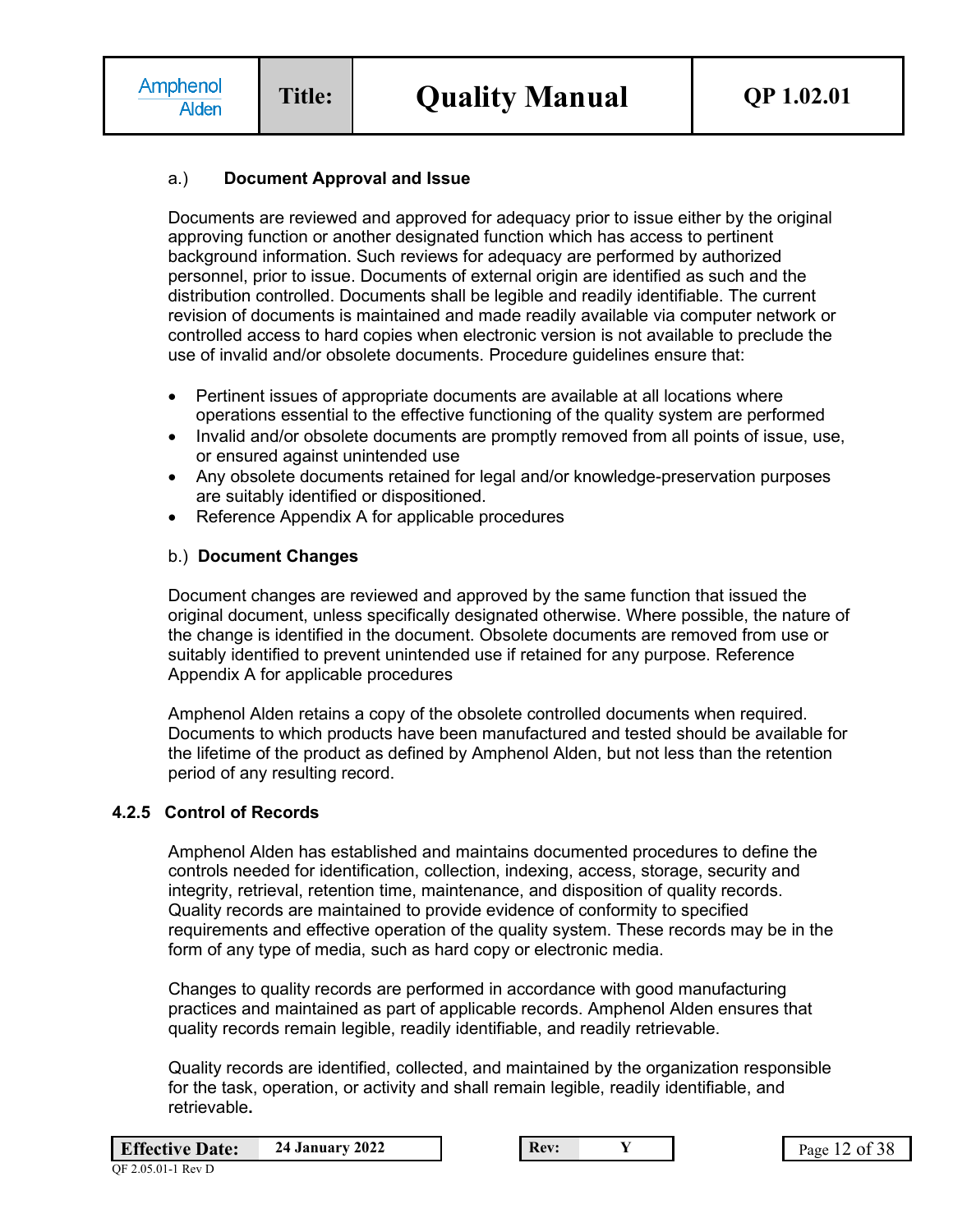### a.) **Document Approval and Issue**

Documents are reviewed and approved for adequacy prior to issue either by the original approving function or another designated function which has access to pertinent background information. Such reviews for adequacy are performed by authorized personnel, prior to issue. Documents of external origin are identified as such and the distribution controlled. Documents shall be legible and readily identifiable. The current revision of documents is maintained and made readily available via computer network or controlled access to hard copies when electronic version is not available to preclude the use of invalid and/or obsolete documents. Procedure guidelines ensure that:

- Pertinent issues of appropriate documents are available at all locations where operations essential to the effective functioning of the quality system are performed
- Invalid and/or obsolete documents are promptly removed from all points of issue, use, or ensured against unintended use
- Any obsolete documents retained for legal and/or knowledge-preservation purposes are suitably identified or dispositioned.
- Reference Appendix A for applicable procedures

### b.) **Document Changes**

Document changes are reviewed and approved by the same function that issued the original document, unless specifically designated otherwise. Where possible, the nature of the change is identified in the document. Obsolete documents are removed from use or suitably identified to prevent unintended use if retained for any purpose. Reference Appendix A for applicable procedures

Amphenol Alden retains a copy of the obsolete controlled documents when required. Documents to which products have been manufactured and tested should be available for the lifetime of the product as defined by Amphenol Alden, but not less than the retention period of any resulting record.

#### **4.2.5 Control of Records**

Amphenol Alden has established and maintains documented procedures to define the controls needed for identification, collection, indexing, access, storage, security and integrity, retrieval, retention time, maintenance, and disposition of quality records. Quality records are maintained to provide evidence of conformity to specified requirements and effective operation of the quality system. These records may be in the form of any type of media, such as hard copy or electronic media.

Changes to quality records are performed in accordance with good manufacturing practices and maintained as part of applicable records. Amphenol Alden ensures that quality records remain legible, readily identifiable, and readily retrievable.

Quality records are identified, collected, and maintained by the organization responsible for the task, operation, or activity and shall remain legible, readily identifiable, and retrievable**.**

| <b>Effective Date:</b> | <b>24 January 2022</b> |
|------------------------|------------------------|
| OF 2.05.01-1 Rev D     |                        |

**Rev: 24 Page 12 of 38**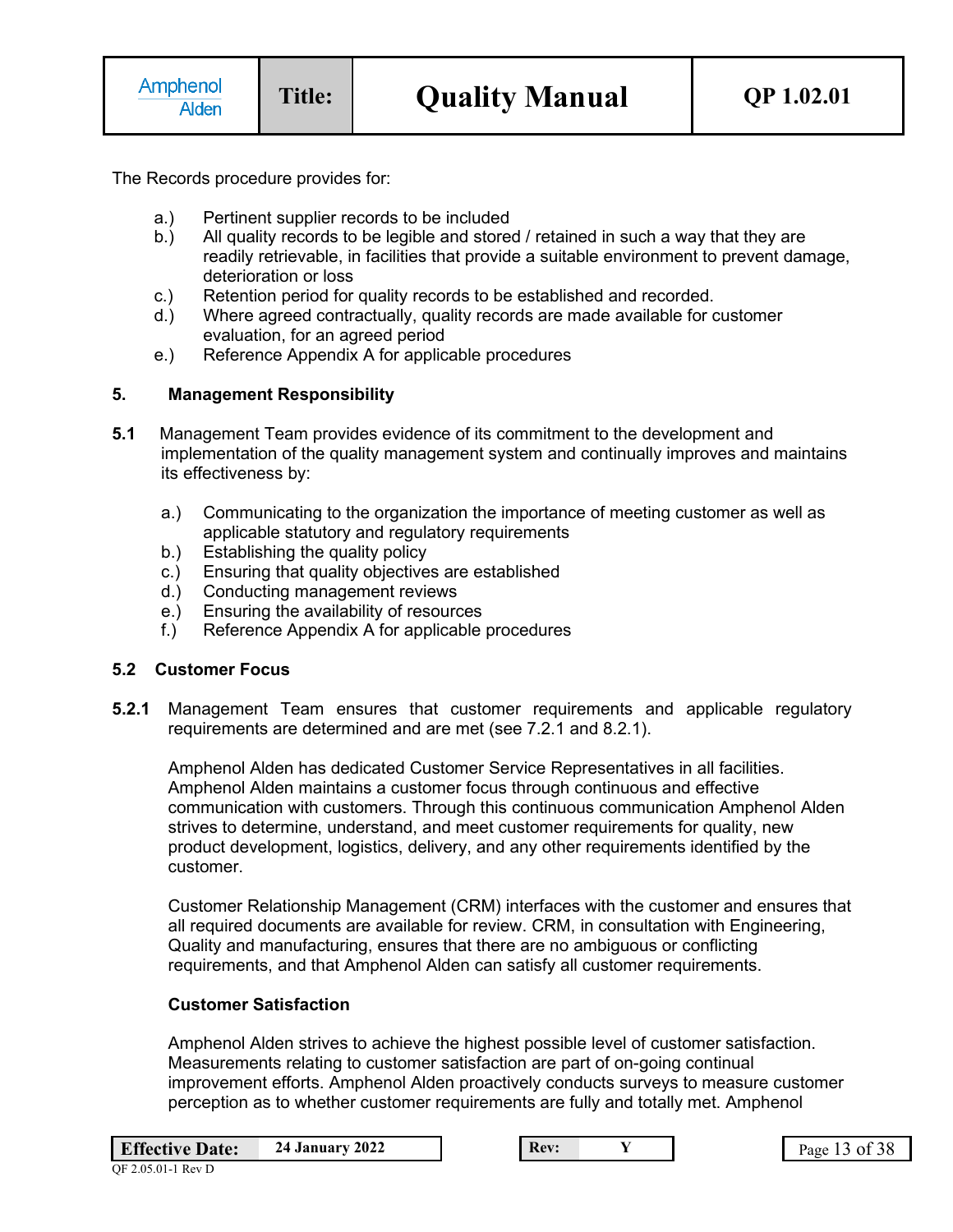The Records procedure provides for:

- a.) Pertinent supplier records to be included
- b.) All quality records to be legible and stored / retained in such a way that they are readily retrievable, in facilities that provide a suitable environment to prevent damage, deterioration or loss
- c.) Retention period for quality records to be established and recorded.
- d.) Where agreed contractually, quality records are made available for customer evaluation, for an agreed period
- e.) Reference Appendix A for applicable procedures

## **5. Management Responsibility**

- **5.1** Management Team provides evidence of its commitment to the development and implementation of the quality management system and continually improves and maintains its effectiveness by:
	- a.) Communicating to the organization the importance of meeting customer as well as applicable statutory and regulatory requirements
	- b.) Establishing the quality policy
	- c.) Ensuring that quality objectives are established
	- d.) Conducting management reviews
	- e.) Ensuring the availability of resources
	- f.) Reference Appendix A for applicable procedures

#### **5.2 Customer Focus**

**5.2.1** Management Team ensures that customer requirements and applicable regulatory requirements are determined and are met (see 7.2.1 and 8.2.1).

Amphenol Alden has dedicated Customer Service Representatives in all facilities. Amphenol Alden maintains a customer focus through continuous and effective communication with customers. Through this continuous communication Amphenol Alden strives to determine, understand, and meet customer requirements for quality, new product development, logistics, delivery, and any other requirements identified by the customer.

Customer Relationship Management (CRM) interfaces with the customer and ensures that all required documents are available for review. CRM, in consultation with Engineering, Quality and manufacturing, ensures that there are no ambiguous or conflicting requirements, and that Amphenol Alden can satisfy all customer requirements.

#### **Customer Satisfaction**

Amphenol Alden strives to achieve the highest possible level of customer satisfaction. Measurements relating to customer satisfaction are part of on-going continual improvement efforts. Amphenol Alden proactively conducts surveys to measure customer perception as to whether customer requirements are fully and totally met. Amphenol

| <b>Effective Date:</b> | <b>24 January 2022</b> |
|------------------------|------------------------|
|------------------------|------------------------|

**Rev: 24 Page 13 of 38**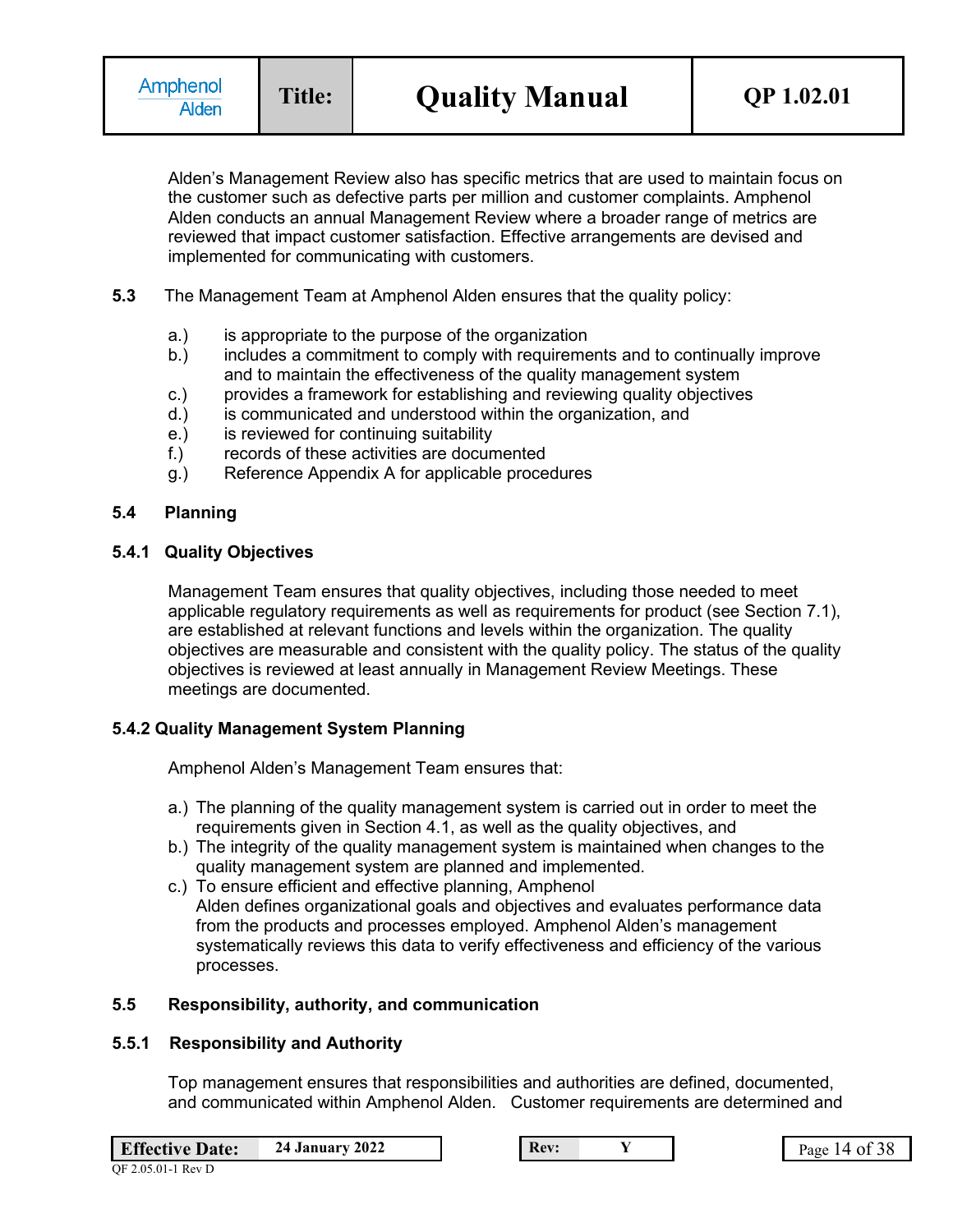Alden's Management Review also has specific metrics that are used to maintain focus on the customer such as defective parts per million and customer complaints. Amphenol Alden conducts an annual Management Review where a broader range of metrics are reviewed that impact customer satisfaction. Effective arrangements are devised and implemented for communicating with customers.

- **5.3** The Management Team at Amphenol Alden ensures that the quality policy:
	- a.) is appropriate to the purpose of the organization
	- b.) includes a commitment to comply with requirements and to continually improve and to maintain the effectiveness of the quality management system
	- c.) provides a framework for establishing and reviewing quality objectives
	- d.) is communicated and understood within the organization, and
	- e.) is reviewed for continuing suitability
	- f.) records of these activities are documented
	- g.) Reference Appendix A for applicable procedures

### **5.4 Planning**

### **5.4.1 Quality Objectives**

Management Team ensures that quality objectives, including those needed to meet applicable regulatory requirements as well as requirements for product (see Section 7.1), are established at relevant functions and levels within the organization. The quality objectives are measurable and consistent with the quality policy. The status of the quality objectives is reviewed at least annually in Management Review Meetings. These meetings are documented.

## **5.4.2 Quality Management System Planning**

Amphenol Alden's Management Team ensures that:

- a.) The planning of the quality management system is carried out in order to meet the requirements given in Section 4.1, as well as the quality objectives, and
- b.) The integrity of the quality management system is maintained when changes to the quality management system are planned and implemented.
- c.) To ensure efficient and effective planning, Amphenol Alden defines organizational goals and objectives and evaluates performance data from the products and processes employed. Amphenol Alden's management systematically reviews this data to verify effectiveness and efficiency of the various processes.

## **5.5 Responsibility, authority, and communication**

#### **5.5.1 Responsibility and Authority**

Top management ensures that responsibilities and authorities are defined, documented, and communicated within Amphenol Alden. Customer requirements are determined and

**Effective Date:** 24 January 2022 **Rev: Rev: Y Rev: Page 14 of 38**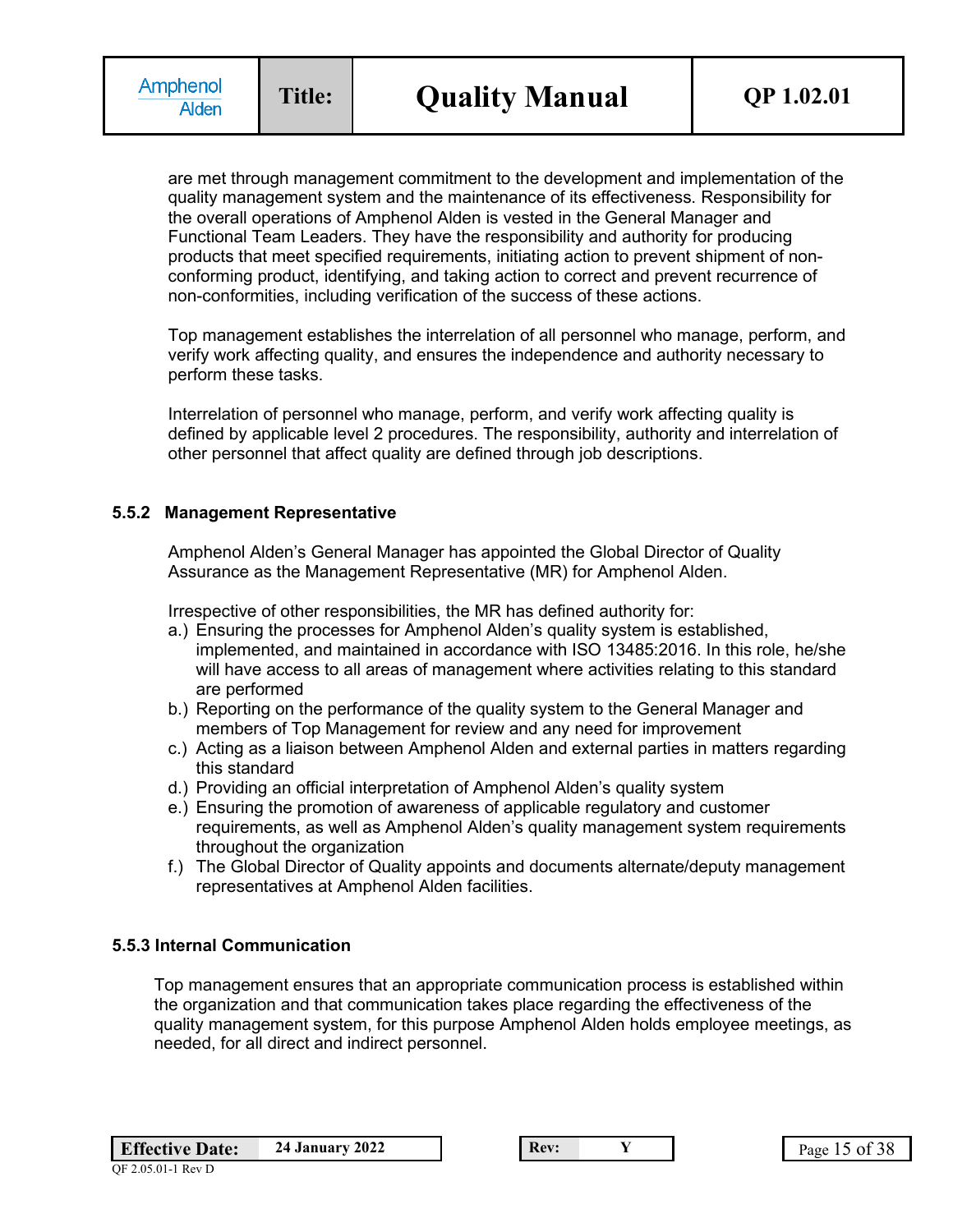are met through management commitment to the development and implementation of the quality management system and the maintenance of its effectiveness. Responsibility for the overall operations of Amphenol Alden is vested in the General Manager and Functional Team Leaders. They have the responsibility and authority for producing products that meet specified requirements, initiating action to prevent shipment of nonconforming product, identifying, and taking action to correct and prevent recurrence of non-conformities, including verification of the success of these actions.

Top management establishes the interrelation of all personnel who manage, perform, and verify work affecting quality, and ensures the independence and authority necessary to perform these tasks.

Interrelation of personnel who manage, perform, and verify work affecting quality is defined by applicable level 2 procedures. The responsibility, authority and interrelation of other personnel that affect quality are defined through job descriptions.

### **5.5.2 Management Representative**

Amphenol Alden's General Manager has appointed the Global Director of Quality Assurance as the Management Representative (MR) for Amphenol Alden.

Irrespective of other responsibilities, the MR has defined authority for:

- a.) Ensuring the processes for Amphenol Alden's quality system is established, implemented, and maintained in accordance with ISO 13485:2016. In this role, he/she will have access to all areas of management where activities relating to this standard are performed
- b.) Reporting on the performance of the quality system to the General Manager and members of Top Management for review and any need for improvement
- c.) Acting as a liaison between Amphenol Alden and external parties in matters regarding this standard
- d.) Providing an official interpretation of Amphenol Alden's quality system
- e.) Ensuring the promotion of awareness of applicable regulatory and customer requirements, as well as Amphenol Alden's quality management system requirements throughout the organization
- f.) The Global Director of Quality appoints and documents alternate/deputy management representatives at Amphenol Alden facilities.

### **5.5.3 Internal Communication**

Top management ensures that an appropriate communication process is established within the organization and that communication takes place regarding the effectiveness of the quality management system, for this purpose Amphenol Alden holds employee meetings, as needed, for all direct and indirect personnel.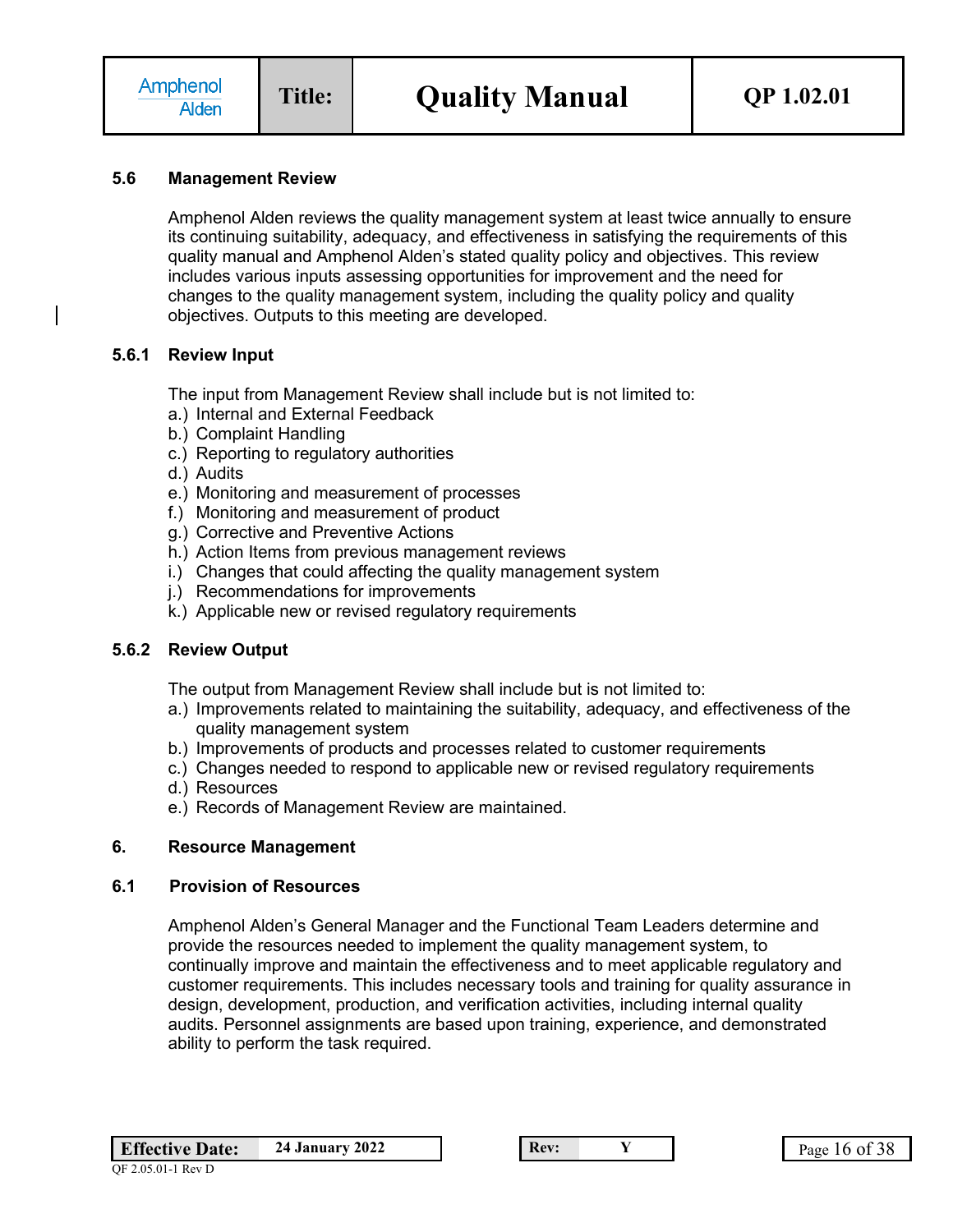### **5.6 Management Review**

Amphenol Alden reviews the quality management system at least twice annually to ensure its continuing suitability, adequacy, and effectiveness in satisfying the requirements of this quality manual and Amphenol Alden's stated quality policy and objectives. This review includes various inputs assessing opportunities for improvement and the need for changes to the quality management system, including the quality policy and quality objectives. Outputs to this meeting are developed.

#### **5.6.1 Review Input**

The input from Management Review shall include but is not limited to:

- a.) Internal and External Feedback
- b.) Complaint Handling
- c.) Reporting to regulatory authorities
- d.) Audits
- e.) Monitoring and measurement of processes
- f.) Monitoring and measurement of product
- g.) Corrective and Preventive Actions
- h.) Action Items from previous management reviews
- i.) Changes that could affecting the quality management system
- j.) Recommendations for improvements
- k.) Applicable new or revised regulatory requirements

## **5.6.2 Review Output**

The output from Management Review shall include but is not limited to:

- a.) Improvements related to maintaining the suitability, adequacy, and effectiveness of the quality management system
- b.) Improvements of products and processes related to customer requirements
- c.) Changes needed to respond to applicable new or revised regulatory requirements
- d.) Resources
- e.) Records of Management Review are maintained.

#### **6. Resource Management**

#### **6.1 Provision of Resources**

Amphenol Alden's General Manager and the Functional Team Leaders determine and provide the resources needed to implement the quality management system, to continually improve and maintain the effectiveness and to meet applicable regulatory and customer requirements. This includes necessary tools and training for quality assurance in design, development, production, and verification activities, including internal quality audits. Personnel assignments are based upon training, experience, and demonstrated ability to perform the task required.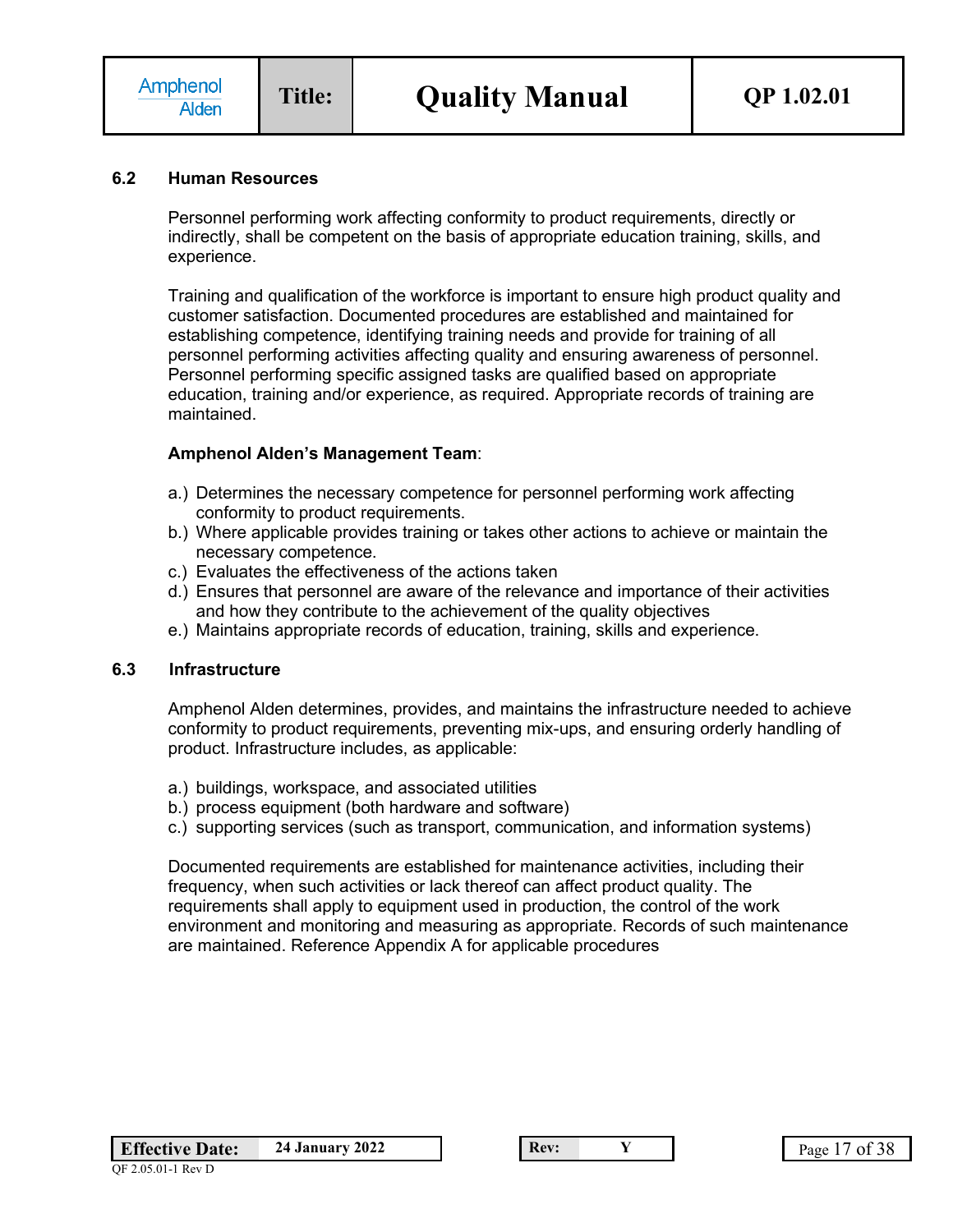### **6.2 Human Resources**

Personnel performing work affecting conformity to product requirements, directly or indirectly, shall be competent on the basis of appropriate education training, skills, and experience.

Training and qualification of the workforce is important to ensure high product quality and customer satisfaction. Documented procedures are established and maintained for establishing competence, identifying training needs and provide for training of all personnel performing activities affecting quality and ensuring awareness of personnel. Personnel performing specific assigned tasks are qualified based on appropriate education, training and/or experience, as required. Appropriate records of training are maintained.

### **Amphenol Alden's Management Team**:

- a.) Determines the necessary competence for personnel performing work affecting conformity to product requirements.
- b.) Where applicable provides training or takes other actions to achieve or maintain the necessary competence.
- c.) Evaluates the effectiveness of the actions taken
- d.) Ensures that personnel are aware of the relevance and importance of their activities and how they contribute to the achievement of the quality objectives
- e.) Maintains appropriate records of education, training, skills and experience.

#### **6.3 Infrastructure**

Amphenol Alden determines, provides, and maintains the infrastructure needed to achieve conformity to product requirements, preventing mix-ups, and ensuring orderly handling of product. Infrastructure includes, as applicable:

- a.) buildings, workspace, and associated utilities
- b.) process equipment (both hardware and software)
- c.) supporting services (such as transport, communication, and information systems)

Documented requirements are established for maintenance activities, including their frequency, when such activities or lack thereof can affect product quality. The requirements shall apply to equipment used in production, the control of the work environment and monitoring and measuring as appropriate. Records of such maintenance are maintained. Reference Appendix A for applicable procedures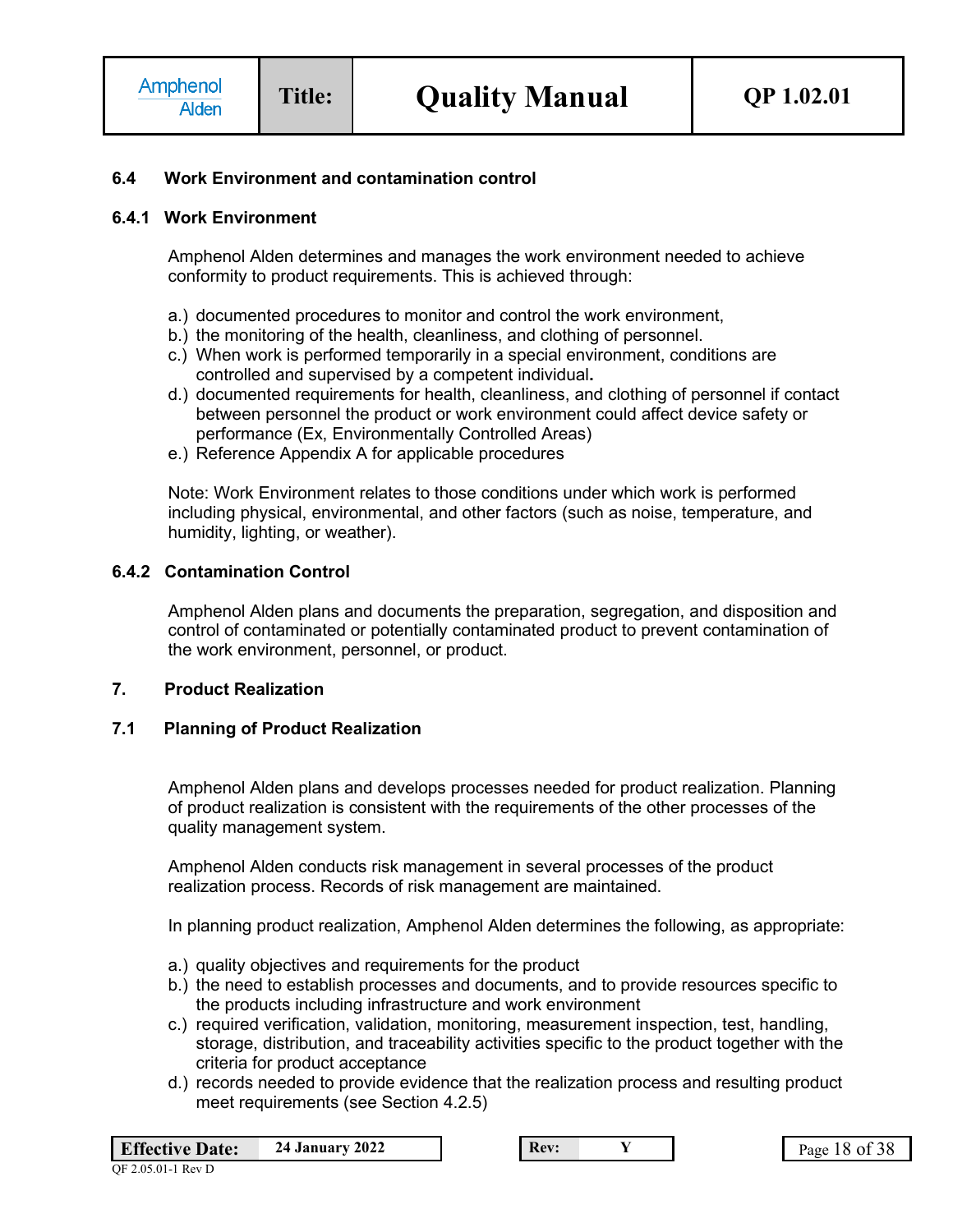### **6.4 Work Environment and contamination control**

### **6.4.1 Work Environment**

Amphenol Alden determines and manages the work environment needed to achieve conformity to product requirements. This is achieved through:

- a.) documented procedures to monitor and control the work environment,
- b.) the monitoring of the health, cleanliness, and clothing of personnel.
- c.) When work is performed temporarily in a special environment, conditions are controlled and supervised by a competent individual**.**
- d.) documented requirements for health, cleanliness, and clothing of personnel if contact between personnel the product or work environment could affect device safety or performance (Ex, Environmentally Controlled Areas)
- e.) Reference Appendix A for applicable procedures

Note: Work Environment relates to those conditions under which work is performed including physical, environmental, and other factors (such as noise, temperature, and humidity, lighting, or weather).

### **6.4.2 Contamination Control**

Amphenol Alden plans and documents the preparation, segregation, and disposition and control of contaminated or potentially contaminated product to prevent contamination of the work environment, personnel, or product.

### **7. Product Realization**

### **7.1 Planning of Product Realization**

Amphenol Alden plans and develops processes needed for product realization. Planning of product realization is consistent with the requirements of the other processes of the quality management system.

Amphenol Alden conducts risk management in several processes of the product realization process. Records of risk management are maintained.

In planning product realization, Amphenol Alden determines the following, as appropriate:

- a.) quality objectives and requirements for the product
- b.) the need to establish processes and documents, and to provide resources specific to the products including infrastructure and work environment
- c.) required verification, validation, monitoring, measurement inspection, test, handling, storage, distribution, and traceability activities specific to the product together with the criteria for product acceptance
- d.) records needed to provide evidence that the realization process and resulting product meet requirements (see Section 4.2.5)

| <b>Effective Date:</b> | <b>24 January 2022</b> |
|------------------------|------------------------|
|                        |                        |

**Rev: 24 Page 18 of 38**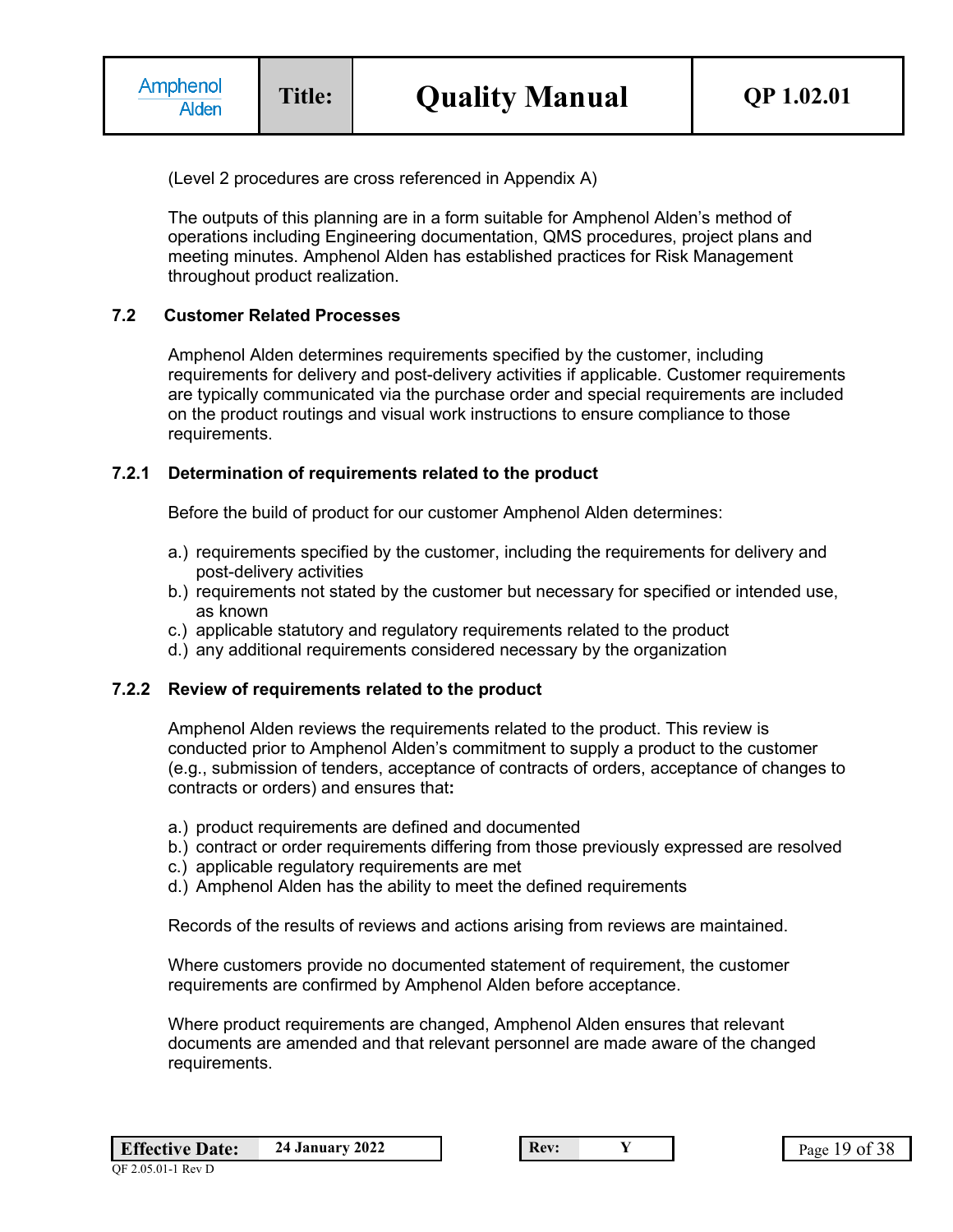(Level 2 procedures are cross referenced in Appendix A)

The outputs of this planning are in a form suitable for Amphenol Alden's method of operations including Engineering documentation, QMS procedures, project plans and meeting minutes. Amphenol Alden has established practices for Risk Management throughout product realization.

## **7.2 Customer Related Processes**

Amphenol Alden determines requirements specified by the customer, including requirements for delivery and post-delivery activities if applicable. Customer requirements are typically communicated via the purchase order and special requirements are included on the product routings and visual work instructions to ensure compliance to those requirements.

#### **7.2.1 Determination of requirements related to the product**

Before the build of product for our customer Amphenol Alden determines:

- a.) requirements specified by the customer, including the requirements for delivery and post-delivery activities
- b.) requirements not stated by the customer but necessary for specified or intended use, as known
- c.) applicable statutory and regulatory requirements related to the product
- d.) any additional requirements considered necessary by the organization

#### **7.2.2 Review of requirements related to the product**

Amphenol Alden reviews the requirements related to the product. This review is conducted prior to Amphenol Alden's commitment to supply a product to the customer (e.g., submission of tenders, acceptance of contracts of orders, acceptance of changes to contracts or orders) and ensures that**:**

- a.) product requirements are defined and documented
- b.) contract or order requirements differing from those previously expressed are resolved
- c.) applicable regulatory requirements are met
- d.) Amphenol Alden has the ability to meet the defined requirements

Records of the results of reviews and actions arising from reviews are maintained.

Where customers provide no documented statement of requirement, the customer requirements are confirmed by Amphenol Alden before acceptance.

Where product requirements are changed, Amphenol Alden ensures that relevant documents are amended and that relevant personnel are made aware of the changed requirements.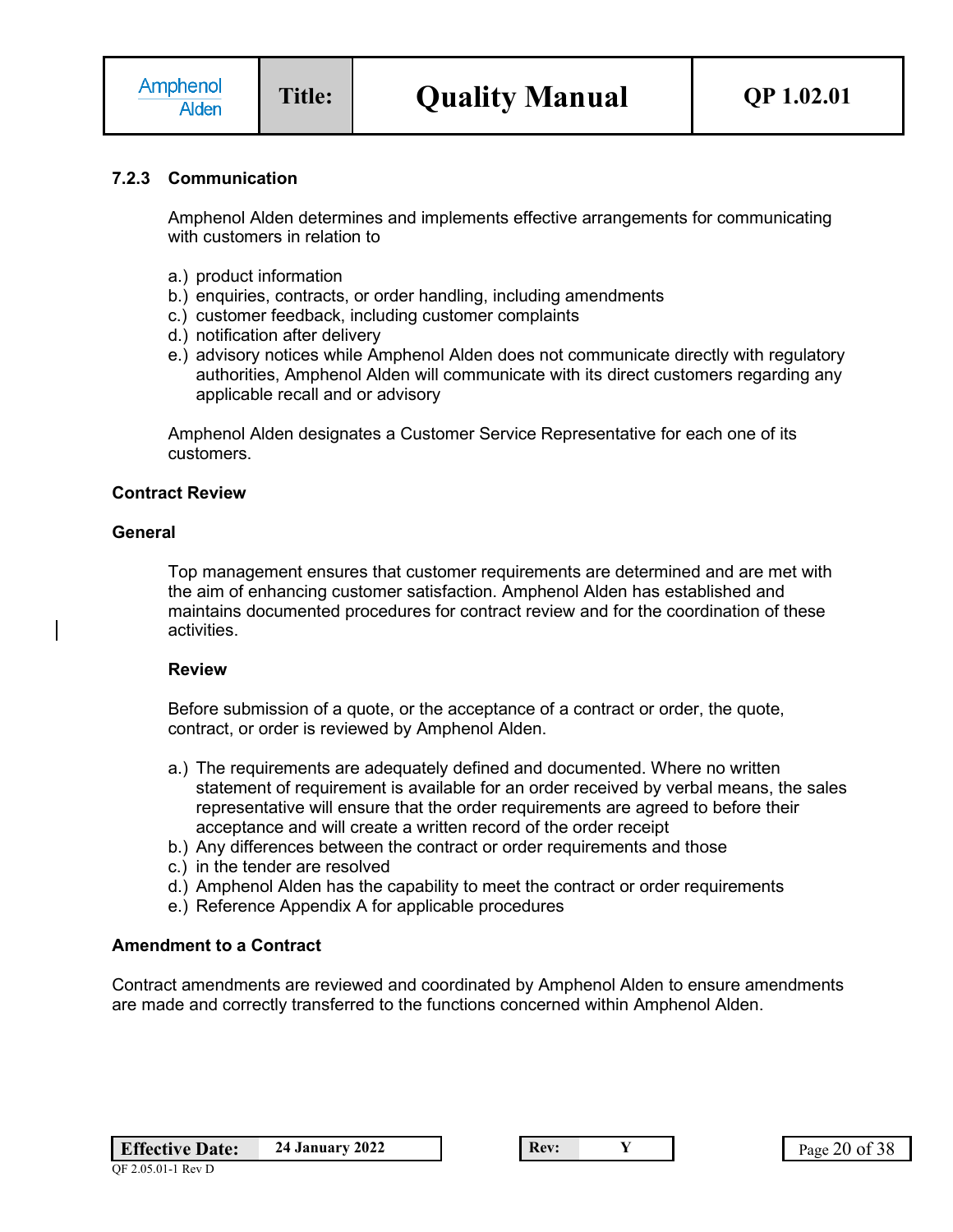## **7.2.3 Communication**

Amphenol Alden determines and implements effective arrangements for communicating with customers in relation to

- a.) product information
- b.) enquiries, contracts, or order handling, including amendments
- c.) customer feedback, including customer complaints
- d.) notification after delivery
- e.) advisory notices while Amphenol Alden does not communicate directly with regulatory authorities, Amphenol Alden will communicate with its direct customers regarding any applicable recall and or advisory

Amphenol Alden designates a Customer Service Representative for each one of its customers.

### **Contract Review**

#### **General**

Top management ensures that customer requirements are determined and are met with the aim of enhancing customer satisfaction. Amphenol Alden has established and maintains documented procedures for contract review and for the coordination of these activities.

#### **Review**

Before submission of a quote, or the acceptance of a contract or order, the quote, contract, or order is reviewed by Amphenol Alden.

- a.) The requirements are adequately defined and documented. Where no written statement of requirement is available for an order received by verbal means, the sales representative will ensure that the order requirements are agreed to before their acceptance and will create a written record of the order receipt
- b.) Any differences between the contract or order requirements and those
- c.) in the tender are resolved
- d.) Amphenol Alden has the capability to meet the contract or order requirements
- e.) Reference Appendix A for applicable procedures

## **Amendment to a Contract**

Contract amendments are reviewed and coordinated by Amphenol Alden to ensure amendments are made and correctly transferred to the functions concerned within Amphenol Alden.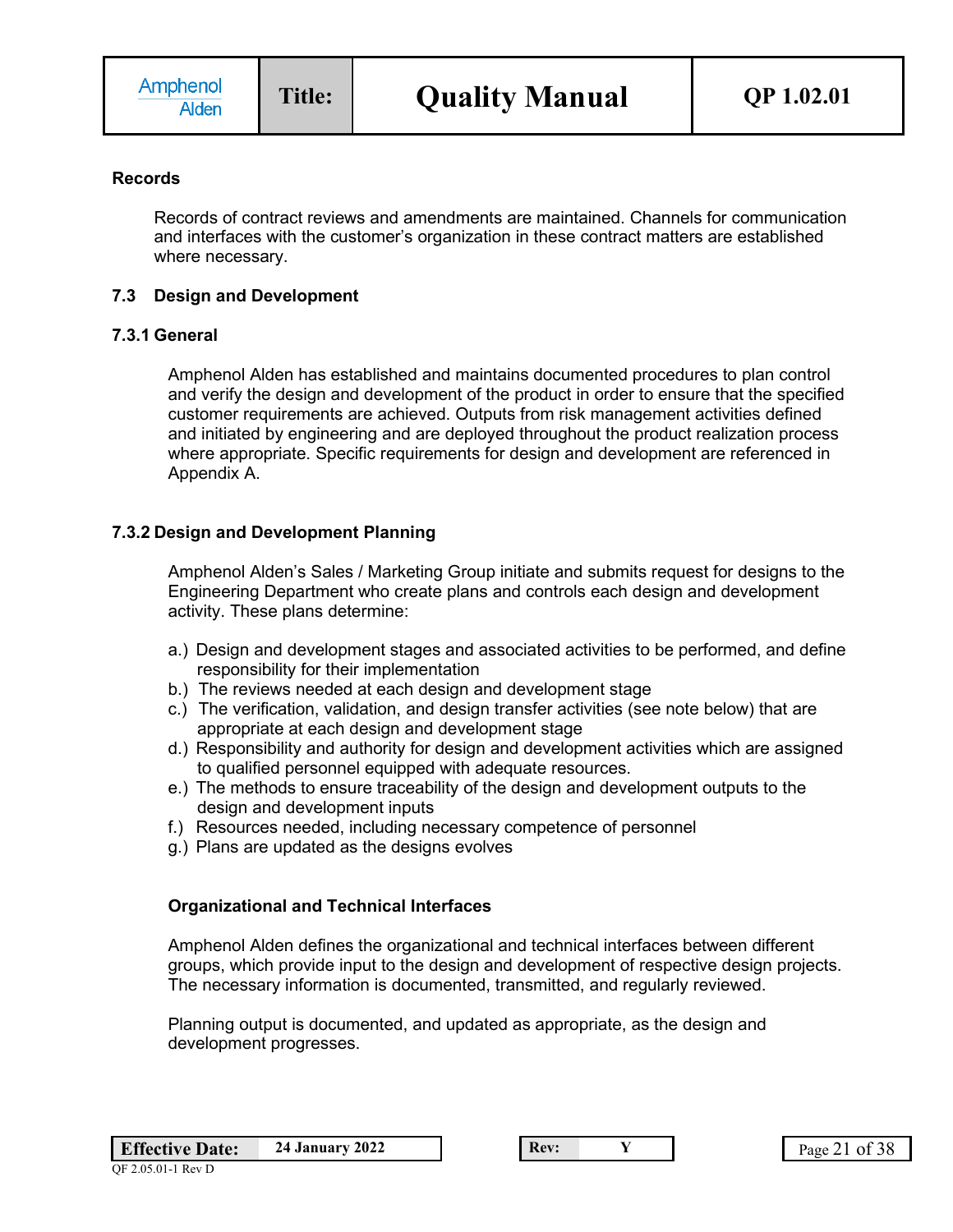### **Records**

Records of contract reviews and amendments are maintained. Channels for communication and interfaces with the customer's organization in these contract matters are established where necessary.

### **7.3 Design and Development**

### **7.3.1 General**

Amphenol Alden has established and maintains documented procedures to plan control and verify the design and development of the product in order to ensure that the specified customer requirements are achieved. Outputs from risk management activities defined and initiated by engineering and are deployed throughout the product realization process where appropriate. Specific requirements for design and development are referenced in Appendix A.

## **7.3.2 Design and Development Planning**

Amphenol Alden's Sales / Marketing Group initiate and submits request for designs to the Engineering Department who create plans and controls each design and development activity. These plans determine:

- a.) Design and development stages and associated activities to be performed, and define responsibility for their implementation
- b.) The reviews needed at each design and development stage
- c.) The verification, validation, and design transfer activities (see note below) that are appropriate at each design and development stage
- d.) Responsibility and authority for design and development activities which are assigned to qualified personnel equipped with adequate resources.
- e.) The methods to ensure traceability of the design and development outputs to the design and development inputs
- f.) Resources needed, including necessary competence of personnel
- g.) Plans are updated as the designs evolves

## **Organizational and Technical Interfaces**

Amphenol Alden defines the organizational and technical interfaces between different groups, which provide input to the design and development of respective design projects. The necessary information is documented, transmitted, and regularly reviewed.

Planning output is documented, and updated as appropriate, as the design and development progresses.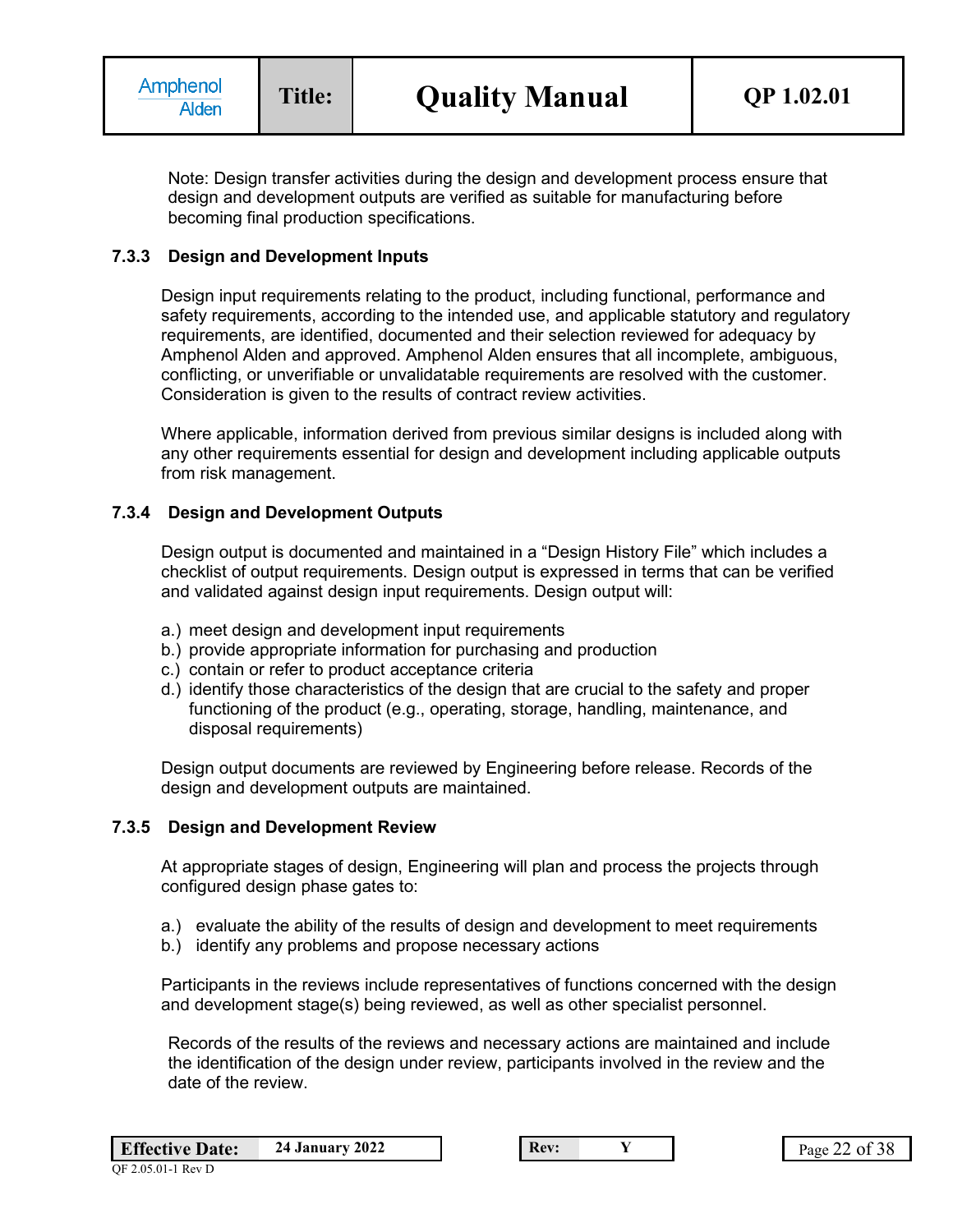Note: Design transfer activities during the design and development process ensure that design and development outputs are verified as suitable for manufacturing before becoming final production specifications.

### **7.3.3 Design and Development Inputs**

Design input requirements relating to the product, including functional, performance and safety requirements, according to the intended use, and applicable statutory and regulatory requirements, are identified, documented and their selection reviewed for adequacy by Amphenol Alden and approved. Amphenol Alden ensures that all incomplete, ambiguous, conflicting, or unverifiable or unvalidatable requirements are resolved with the customer. Consideration is given to the results of contract review activities.

Where applicable, information derived from previous similar designs is included along with any other requirements essential for design and development including applicable outputs from risk management.

### **7.3.4 Design and Development Outputs**

Design output is documented and maintained in a "Design History File" which includes a checklist of output requirements. Design output is expressed in terms that can be verified and validated against design input requirements. Design output will:

- a.) meet design and development input requirements
- b.) provide appropriate information for purchasing and production
- c.) contain or refer to product acceptance criteria
- d.) identify those characteristics of the design that are crucial to the safety and proper functioning of the product (e.g., operating, storage, handling, maintenance, and disposal requirements)

Design output documents are reviewed by Engineering before release. Records of the design and development outputs are maintained.

#### **7.3.5 Design and Development Review**

At appropriate stages of design, Engineering will plan and process the projects through configured design phase gates to:

- a.) evaluate the ability of the results of design and development to meet requirements
- b.) identify any problems and propose necessary actions

Participants in the reviews include representatives of functions concerned with the design and development stage(s) being reviewed, as well as other specialist personnel.

Records of the results of the reviews and necessary actions are maintained and include the identification of the design under review, participants involved in the review and the date of the review.

| <b>Effective Date:</b>               | <b>24 January 2022</b> |
|--------------------------------------|------------------------|
| ነር <u>2.05.01.1 D<sub>ov</sub></u> D |                        |

**Example 22 Page 22 of 38**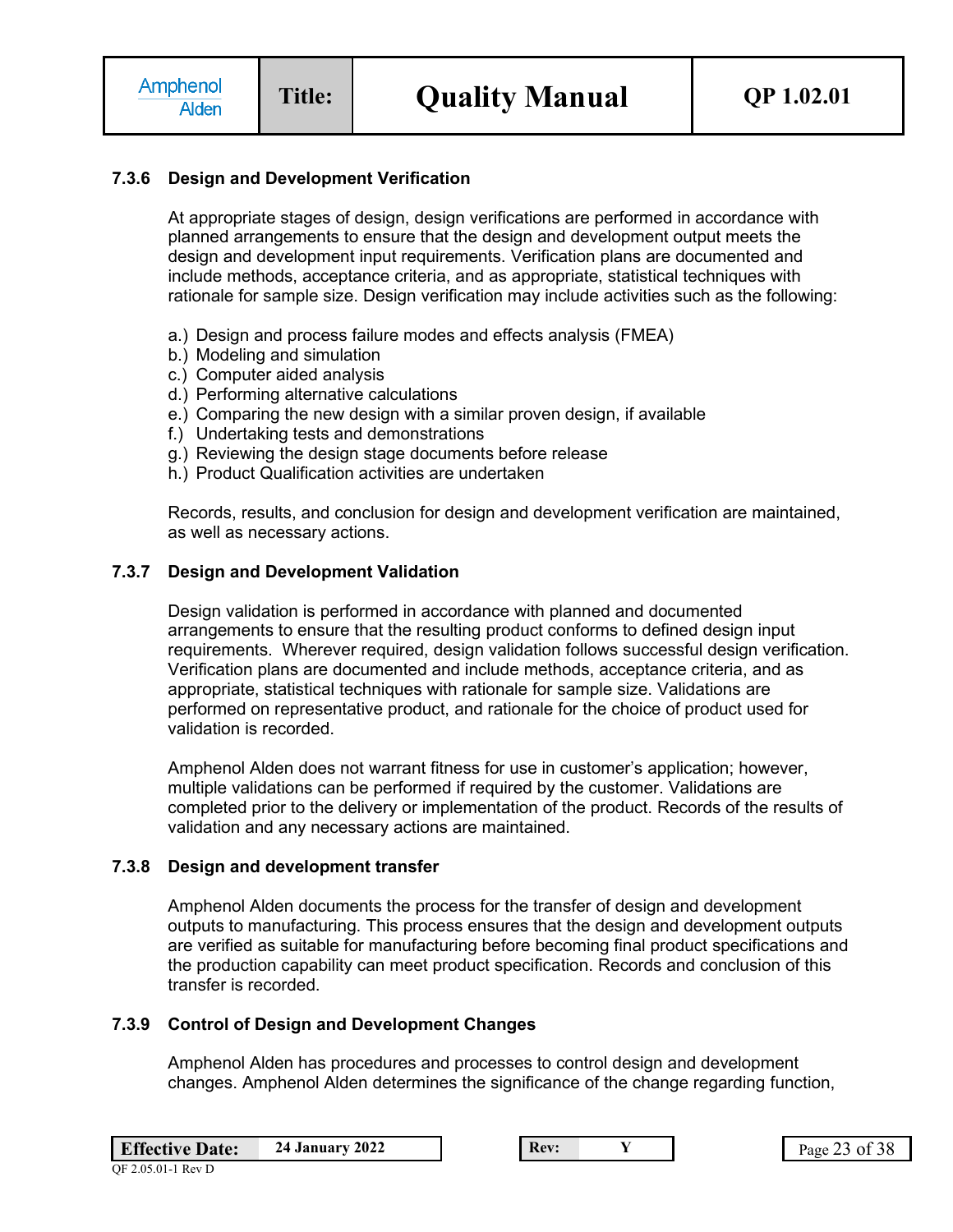## **7.3.6 Design and Development Verification**

At appropriate stages of design, design verifications are performed in accordance with planned arrangements to ensure that the design and development output meets the design and development input requirements. Verification plans are documented and include methods, acceptance criteria, and as appropriate, statistical techniques with rationale for sample size. Design verification may include activities such as the following:

- a.) Design and process failure modes and effects analysis (FMEA)
- b.) Modeling and simulation
- c.) Computer aided analysis
- d.) Performing alternative calculations
- e.) Comparing the new design with a similar proven design, if available
- f.) Undertaking tests and demonstrations
- g.) Reviewing the design stage documents before release
- h.) Product Qualification activities are undertaken

Records, results, and conclusion for design and development verification are maintained, as well as necessary actions.

#### **7.3.7 Design and Development Validation**

Design validation is performed in accordance with planned and documented arrangements to ensure that the resulting product conforms to defined design input requirements. Wherever required, design validation follows successful design verification. Verification plans are documented and include methods, acceptance criteria, and as appropriate, statistical techniques with rationale for sample size. Validations are performed on representative product, and rationale for the choice of product used for validation is recorded.

Amphenol Alden does not warrant fitness for use in customer's application; however, multiple validations can be performed if required by the customer. Validations are completed prior to the delivery or implementation of the product. Records of the results of validation and any necessary actions are maintained.

#### **7.3.8 Design and development transfer**

Amphenol Alden documents the process for the transfer of design and development outputs to manufacturing. This process ensures that the design and development outputs are verified as suitable for manufacturing before becoming final product specifications and the production capability can meet product specification. Records and conclusion of this transfer is recorded.

## **7.3.9 Control of Design and Development Changes**

Amphenol Alden has procedures and processes to control design and development changes. Amphenol Alden determines the significance of the change regarding function,

| <b>Effective Date:</b>                  | <b>24 January 2022</b> |
|-----------------------------------------|------------------------|
| ገር <u>ጎ ሰ</u> ደ ሰ1 1 D <sub>ext</sub> ከ |                        |

**Example 23 of 38 Page 23 of 38**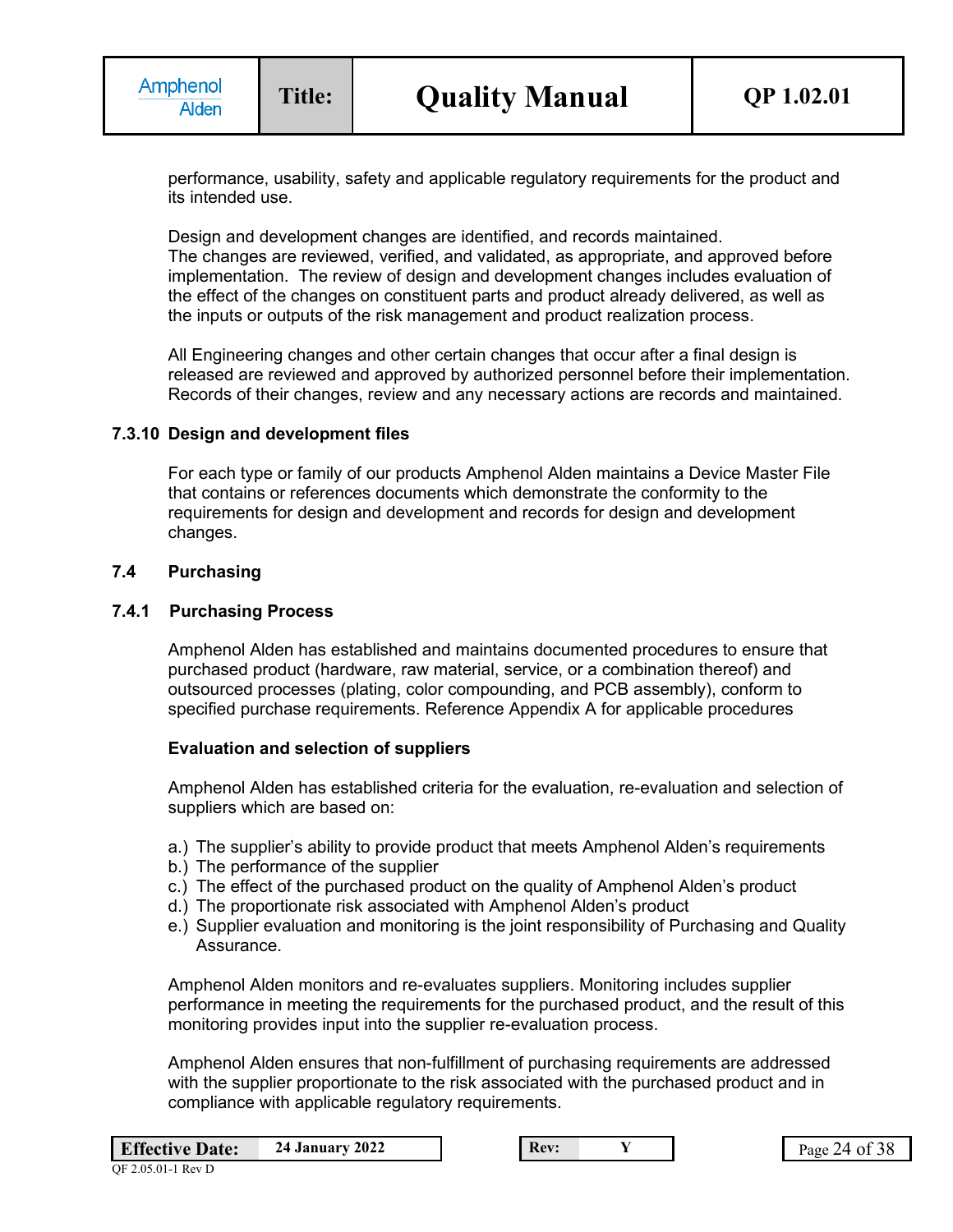performance, usability, safety and applicable regulatory requirements for the product and its intended use.

Design and development changes are identified, and records maintained. The changes are reviewed, verified, and validated, as appropriate, and approved before implementation. The review of design and development changes includes evaluation of the effect of the changes on constituent parts and product already delivered, as well as the inputs or outputs of the risk management and product realization process.

All Engineering changes and other certain changes that occur after a final design is released are reviewed and approved by authorized personnel before their implementation. Records of their changes, review and any necessary actions are records and maintained.

#### **7.3.10 Design and development files**

For each type or family of our products Amphenol Alden maintains a Device Master File that contains or references documents which demonstrate the conformity to the requirements for design and development and records for design and development changes.

#### **7.4 Purchasing**

#### **7.4.1 Purchasing Process**

Amphenol Alden has established and maintains documented procedures to ensure that purchased product (hardware, raw material, service, or a combination thereof) and outsourced processes (plating, color compounding, and PCB assembly), conform to specified purchase requirements. Reference Appendix A for applicable procedures

#### **Evaluation and selection of suppliers**

Amphenol Alden has established criteria for the evaluation, re-evaluation and selection of suppliers which are based on:

- a.) The supplier's ability to provide product that meets Amphenol Alden's requirements
- b.) The performance of the supplier
- c.) The effect of the purchased product on the quality of Amphenol Alden's product
- d.) The proportionate risk associated with Amphenol Alden's product
- e.) Supplier evaluation and monitoring is the joint responsibility of Purchasing and Quality **Assurance**

Amphenol Alden monitors and re-evaluates suppliers. Monitoring includes supplier performance in meeting the requirements for the purchased product, and the result of this monitoring provides input into the supplier re-evaluation process.

Amphenol Alden ensures that non-fulfillment of purchasing requirements are addressed with the supplier proportionate to the risk associated with the purchased product and in compliance with applicable regulatory requirements.

| <b>Effective Date:</b> | <b>24 January 2022</b> |
|------------------------|------------------------|
|------------------------|------------------------|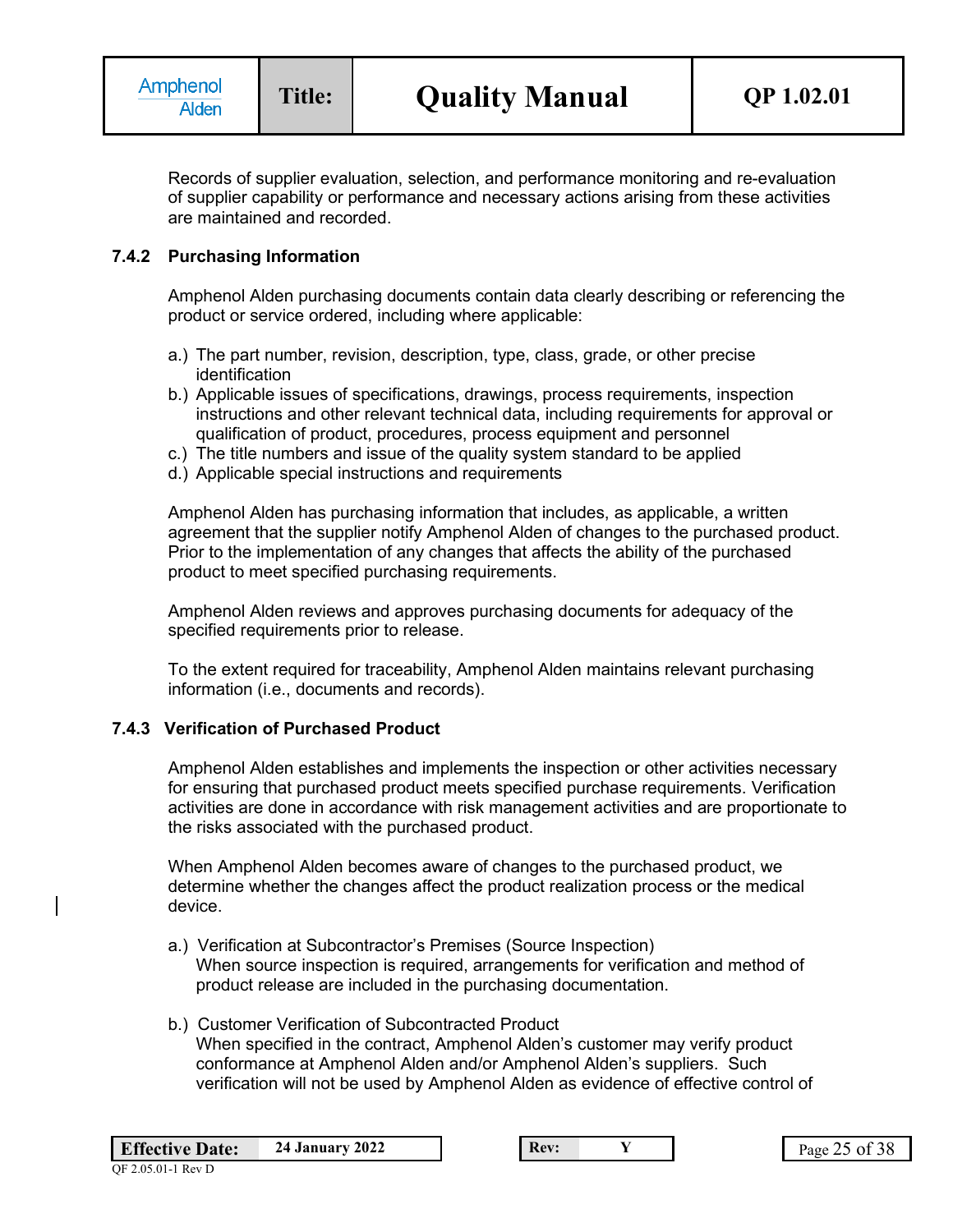Records of supplier evaluation, selection, and performance monitoring and re-evaluation of supplier capability or performance and necessary actions arising from these activities are maintained and recorded.

### **7.4.2 Purchasing Information**

Amphenol Alden purchasing documents contain data clearly describing or referencing the product or service ordered, including where applicable:

- a.) The part number, revision, description, type, class, grade, or other precise identification
- b.) Applicable issues of specifications, drawings, process requirements, inspection instructions and other relevant technical data, including requirements for approval or qualification of product, procedures, process equipment and personnel
- c.) The title numbers and issue of the quality system standard to be applied
- d.) Applicable special instructions and requirements

Amphenol Alden has purchasing information that includes, as applicable, a written agreement that the supplier notify Amphenol Alden of changes to the purchased product. Prior to the implementation of any changes that affects the ability of the purchased product to meet specified purchasing requirements.

Amphenol Alden reviews and approves purchasing documents for adequacy of the specified requirements prior to release.

To the extent required for traceability, Amphenol Alden maintains relevant purchasing information (i.e., documents and records).

### **7.4.3 Verification of Purchased Product**

Amphenol Alden establishes and implements the inspection or other activities necessary for ensuring that purchased product meets specified purchase requirements. Verification activities are done in accordance with risk management activities and are proportionate to the risks associated with the purchased product.

When Amphenol Alden becomes aware of changes to the purchased product, we determine whether the changes affect the product realization process or the medical device.

- a.) Verification at Subcontractor's Premises (Source Inspection) When source inspection is required, arrangements for verification and method of product release are included in the purchasing documentation.
- b.) Customer Verification of Subcontracted Product When specified in the contract, Amphenol Alden's customer may verify product conformance at Amphenol Alden and/or Amphenol Alden's suppliers. Such verification will not be used by Amphenol Alden as evidence of effective control of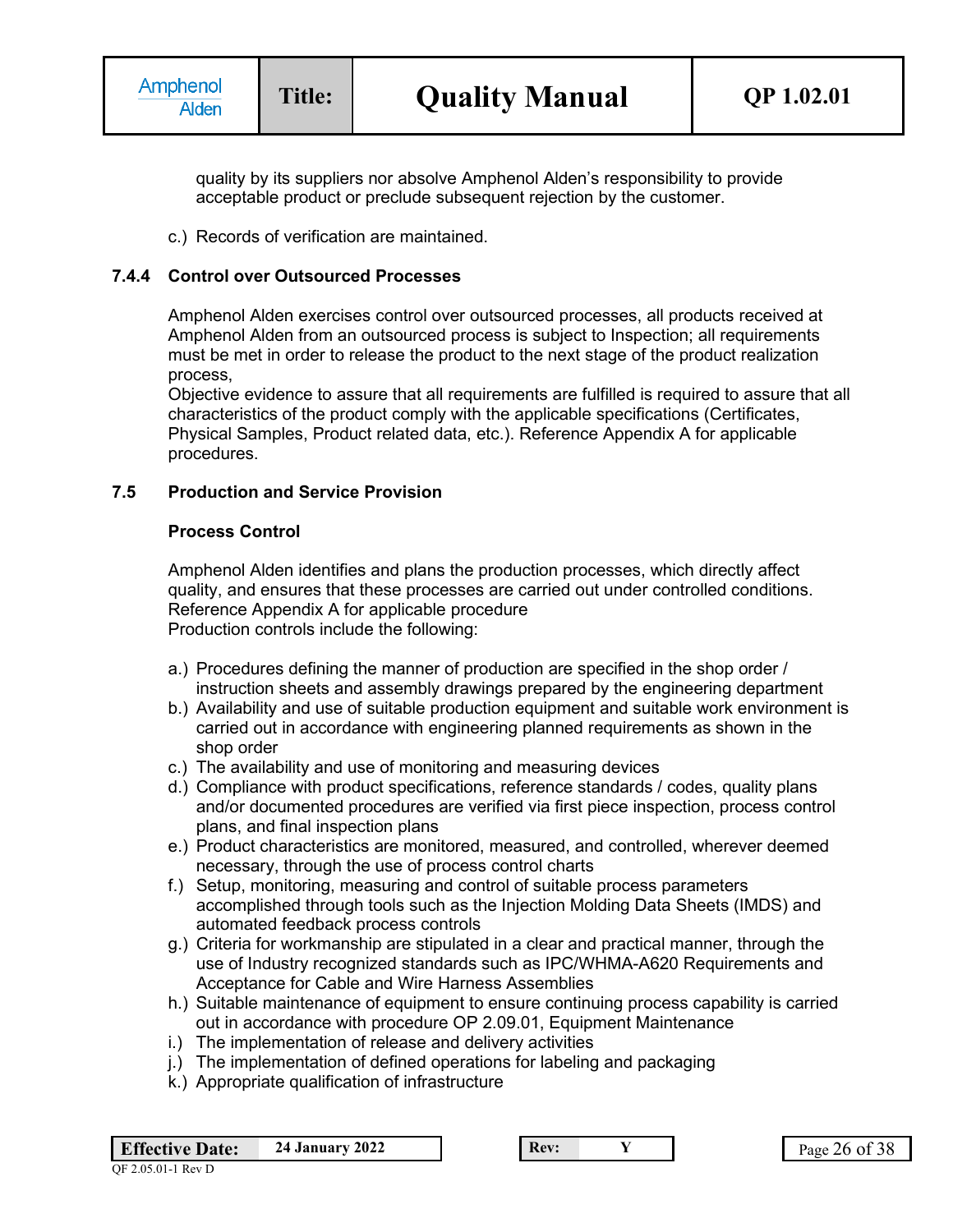quality by its suppliers nor absolve Amphenol Alden's responsibility to provide acceptable product or preclude subsequent rejection by the customer.

c.) Records of verification are maintained.

### **7.4.4 Control over Outsourced Processes**

Amphenol Alden exercises control over outsourced processes, all products received at Amphenol Alden from an outsourced process is subject to Inspection; all requirements must be met in order to release the product to the next stage of the product realization process,

Objective evidence to assure that all requirements are fulfilled is required to assure that all characteristics of the product comply with the applicable specifications (Certificates, Physical Samples, Product related data, etc.). Reference Appendix A for applicable procedures.

### **7.5 Production and Service Provision**

### **Process Control**

Amphenol Alden identifies and plans the production processes, which directly affect quality, and ensures that these processes are carried out under controlled conditions. Reference Appendix A for applicable procedure Production controls include the following:

- a.) Procedures defining the manner of production are specified in the shop order / instruction sheets and assembly drawings prepared by the engineering department
- b.) Availability and use of suitable production equipment and suitable work environment is carried out in accordance with engineering planned requirements as shown in the shop order
- c.) The availability and use of monitoring and measuring devices
- d.) Compliance with product specifications, reference standards / codes, quality plans and/or documented procedures are verified via first piece inspection, process control plans, and final inspection plans
- e.) Product characteristics are monitored, measured, and controlled, wherever deemed necessary, through the use of process control charts
- f.) Setup, monitoring, measuring and control of suitable process parameters accomplished through tools such as the Injection Molding Data Sheets (IMDS) and automated feedback process controls
- g.) Criteria for workmanship are stipulated in a clear and practical manner, through the use of Industry recognized standards such as IPC/WHMA-A620 Requirements and Acceptance for Cable and Wire Harness Assemblies
- h.) Suitable maintenance of equipment to ensure continuing process capability is carried out in accordance with procedure OP 2.09.01, Equipment Maintenance
- i.) The implementation of release and delivery activities
- j.) The implementation of defined operations for labeling and packaging
- k.) Appropriate qualification of infrastructure

| <b>Effective Date:</b> | <b>24 January 2022</b> |
|------------------------|------------------------|
|                        |                        |

**Rev: Y Page 26 of 38**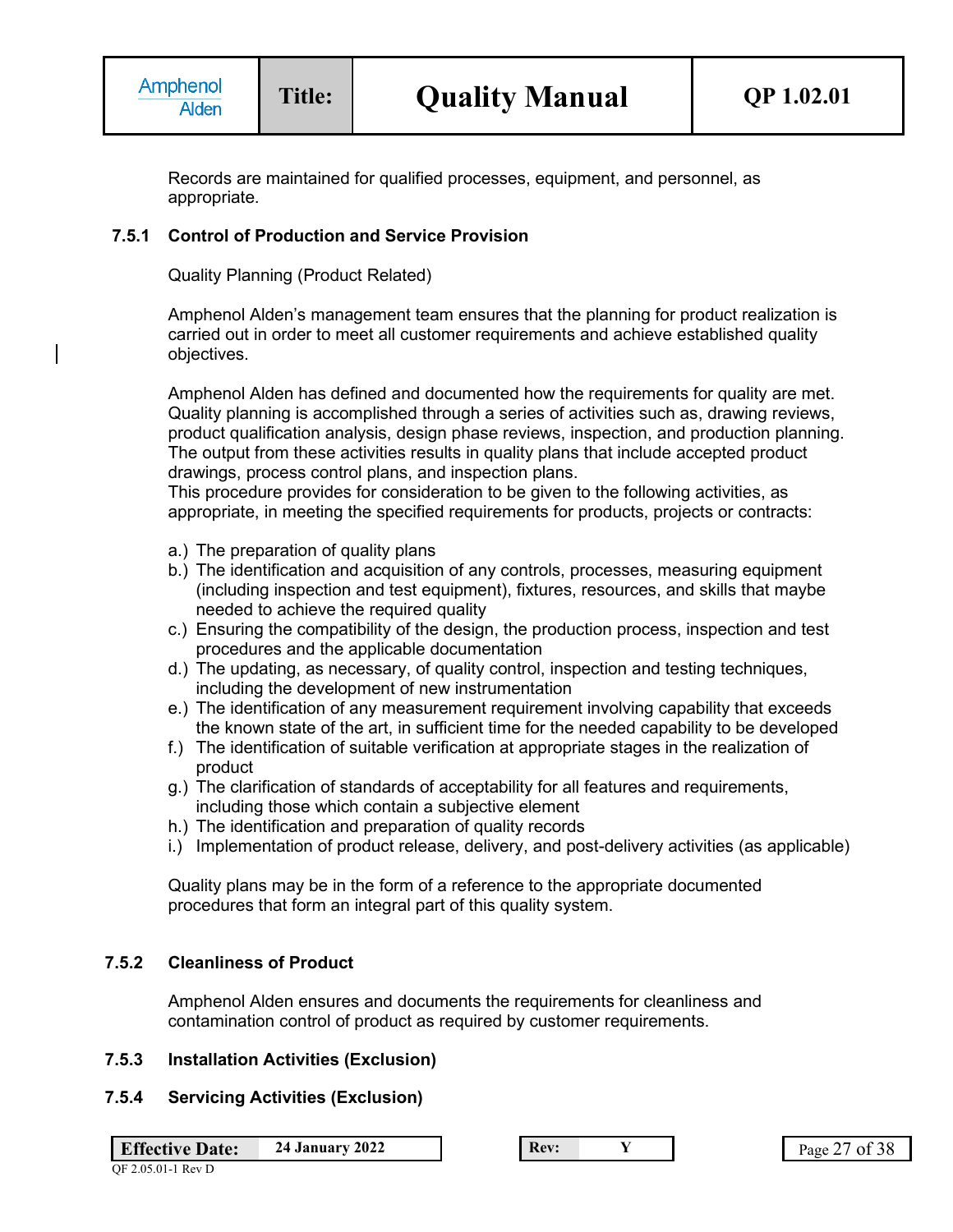Records are maintained for qualified processes, equipment, and personnel, as appropriate.

### **7.5.1 Control of Production and Service Provision**

Quality Planning (Product Related)

Amphenol Alden's management team ensures that the planning for product realization is carried out in order to meet all customer requirements and achieve established quality objectives.

Amphenol Alden has defined and documented how the requirements for quality are met. Quality planning is accomplished through a series of activities such as, drawing reviews, product qualification analysis, design phase reviews, inspection, and production planning. The output from these activities results in quality plans that include accepted product drawings, process control plans, and inspection plans.

This procedure provides for consideration to be given to the following activities, as appropriate, in meeting the specified requirements for products, projects or contracts:

- a.) The preparation of quality plans
- b.) The identification and acquisition of any controls, processes, measuring equipment (including inspection and test equipment), fixtures, resources, and skills that maybe needed to achieve the required quality
- c.) Ensuring the compatibility of the design, the production process, inspection and test procedures and the applicable documentation
- d.) The updating, as necessary, of quality control, inspection and testing techniques, including the development of new instrumentation
- e.) The identification of any measurement requirement involving capability that exceeds the known state of the art, in sufficient time for the needed capability to be developed
- f.) The identification of suitable verification at appropriate stages in the realization of product
- g.) The clarification of standards of acceptability for all features and requirements, including those which contain a subjective element
- h.) The identification and preparation of quality records
- i.) Implementation of product release, delivery, and post-delivery activities (as applicable)

Quality plans may be in the form of a reference to the appropriate documented procedures that form an integral part of this quality system.

#### **7.5.2 Cleanliness of Product**

Amphenol Alden ensures and documents the requirements for cleanliness and contamination control of product as required by customer requirements.

### **7.5.3 Installation Activities (Exclusion)**

#### **7.5.4 Servicing Activities (Exclusion)**

**Effective Date:** 24 January 2022 **Rev: Rev: Y Rev: Page 27 of 38**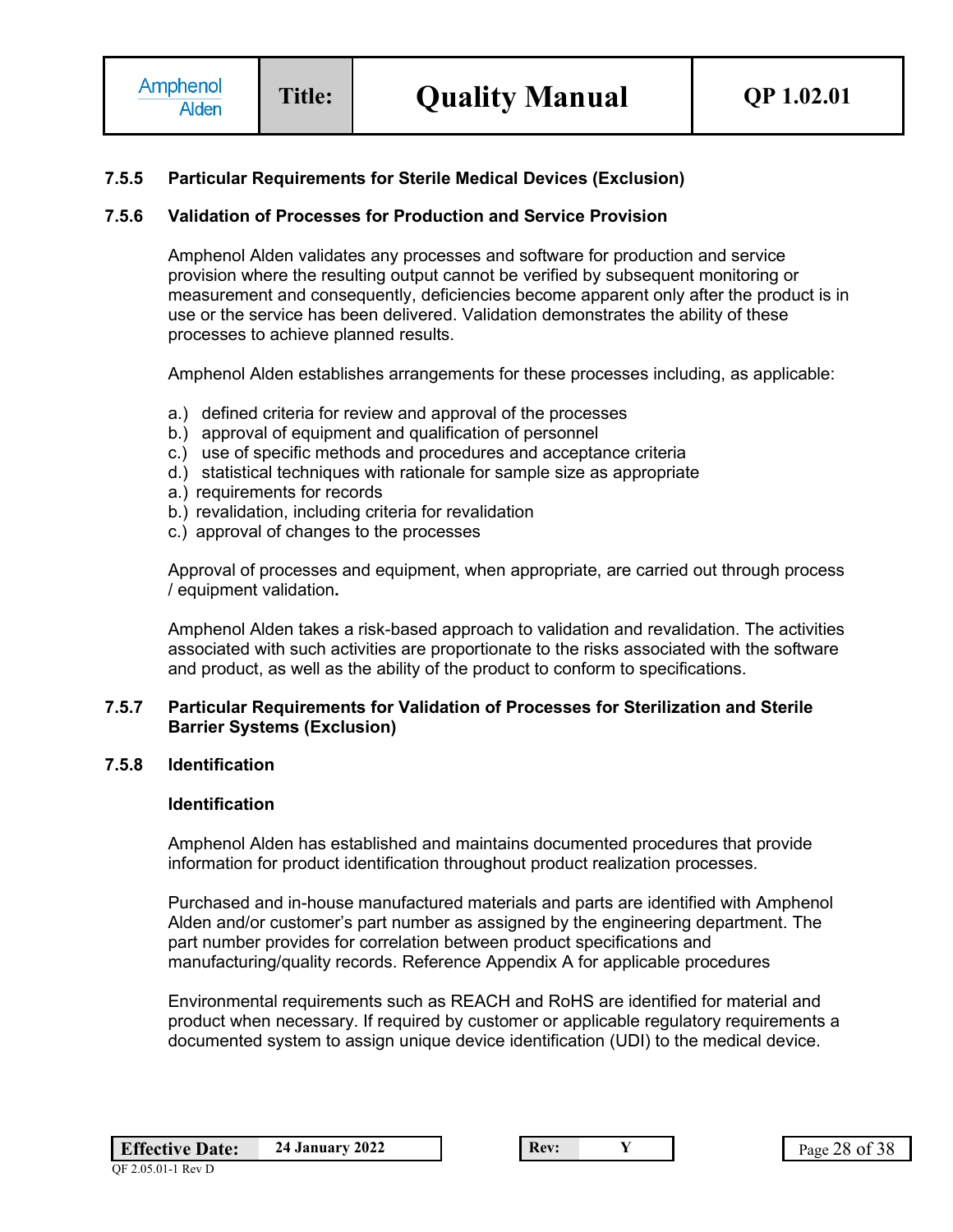### **7.5.5 Particular Requirements for Sterile Medical Devices (Exclusion)**

### **7.5.6 Validation of Processes for Production and Service Provision**

Amphenol Alden validates any processes and software for production and service provision where the resulting output cannot be verified by subsequent monitoring or measurement and consequently, deficiencies become apparent only after the product is in use or the service has been delivered. Validation demonstrates the ability of these processes to achieve planned results.

Amphenol Alden establishes arrangements for these processes including, as applicable:

- a.) defined criteria for review and approval of the processes
- b.) approval of equipment and qualification of personnel
- c.) use of specific methods and procedures and acceptance criteria
- d.) statistical techniques with rationale for sample size as appropriate
- a.) requirements for records
- b.) revalidation, including criteria for revalidation
- c.) approval of changes to the processes

Approval of processes and equipment, when appropriate, are carried out through process / equipment validation**.**

Amphenol Alden takes a risk-based approach to validation and revalidation. The activities associated with such activities are proportionate to the risks associated with the software and product, as well as the ability of the product to conform to specifications.

#### **7.5.7 Particular Requirements for Validation of Processes for Sterilization and Sterile Barrier Systems (Exclusion)**

#### **7.5.8 Identification**

#### **Identification**

Amphenol Alden has established and maintains documented procedures that provide information for product identification throughout product realization processes.

Purchased and in-house manufactured materials and parts are identified with Amphenol Alden and/or customer's part number as assigned by the engineering department. The part number provides for correlation between product specifications and manufacturing/quality records. Reference Appendix A for applicable procedures

Environmental requirements such as REACH and RoHS are identified for material and product when necessary. If required by customer or applicable regulatory requirements a documented system to assign unique device identification (UDI) to the medical device.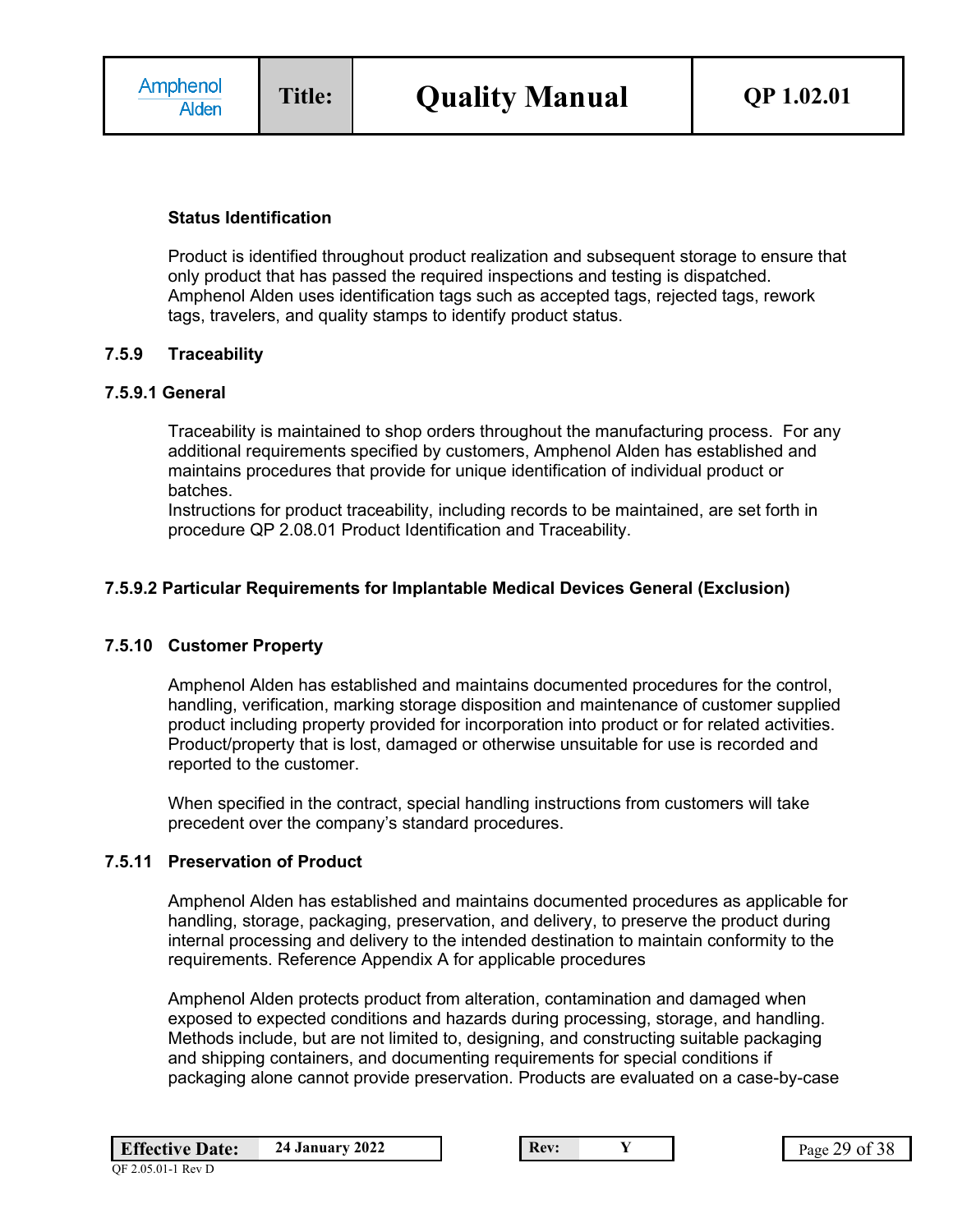### **Status Identification**

Product is identified throughout product realization and subsequent storage to ensure that only product that has passed the required inspections and testing is dispatched. Amphenol Alden uses identification tags such as accepted tags, rejected tags, rework tags, travelers, and quality stamps to identify product status.

### **7.5.9 Traceability**

#### **7.5.9.1 General**

Traceability is maintained to shop orders throughout the manufacturing process. For any additional requirements specified by customers, Amphenol Alden has established and maintains procedures that provide for unique identification of individual product or batches.

Instructions for product traceability, including records to be maintained, are set forth in procedure QP 2.08.01 Product Identification and Traceability.

### **7.5.9.2 Particular Requirements for Implantable Medical Devices General (Exclusion)**

## **7.5.10 Customer Property**

Amphenol Alden has established and maintains documented procedures for the control, handling, verification, marking storage disposition and maintenance of customer supplied product including property provided for incorporation into product or for related activities. Product/property that is lost, damaged or otherwise unsuitable for use is recorded and reported to the customer.

When specified in the contract, special handling instructions from customers will take precedent over the company's standard procedures.

# **7.5.11 Preservation of Product**

Amphenol Alden has established and maintains documented procedures as applicable for handling, storage, packaging, preservation, and delivery, to preserve the product during internal processing and delivery to the intended destination to maintain conformity to the requirements. Reference Appendix A for applicable procedures

Amphenol Alden protects product from alteration, contamination and damaged when exposed to expected conditions and hazards during processing, storage, and handling. Methods include, but are not limited to, designing, and constructing suitable packaging and shipping containers, and documenting requirements for special conditions if packaging alone cannot provide preservation. Products are evaluated on a case-by-case

| <b>Effective Date:</b> | 24 January |
|------------------------|------------|
|                        |            |

**Example 2022 Rev: Y Page 29 of 38**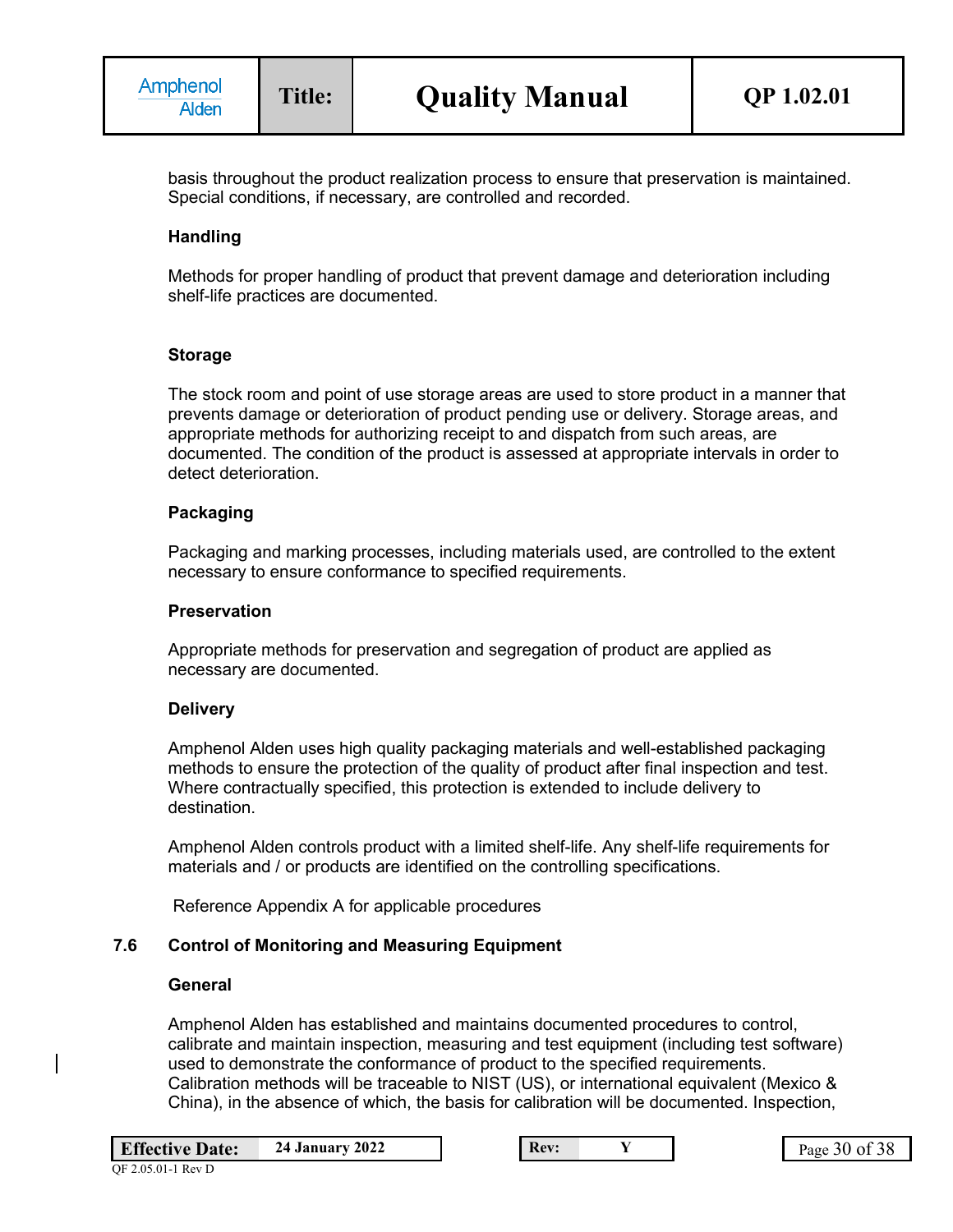basis throughout the product realization process to ensure that preservation is maintained. Special conditions, if necessary, are controlled and recorded.

### **Handling**

Methods for proper handling of product that prevent damage and deterioration including shelf-life practices are documented.

#### **Storage**

The stock room and point of use storage areas are used to store product in a manner that prevents damage or deterioration of product pending use or delivery. Storage areas, and appropriate methods for authorizing receipt to and dispatch from such areas, are documented. The condition of the product is assessed at appropriate intervals in order to detect deterioration.

#### **Packaging**

Packaging and marking processes, including materials used, are controlled to the extent necessary to ensure conformance to specified requirements.

#### **Preservation**

Appropriate methods for preservation and segregation of product are applied as necessary are documented.

### **Delivery**

Amphenol Alden uses high quality packaging materials and well-established packaging methods to ensure the protection of the quality of product after final inspection and test. Where contractually specified, this protection is extended to include delivery to destination.

Amphenol Alden controls product with a limited shelf-life. Any shelf-life requirements for materials and / or products are identified on the controlling specifications.

Reference Appendix A for applicable procedures

#### **7.6 Control of Monitoring and Measuring Equipment**

#### **General**

QF 2.05.01-1 Rev D

Amphenol Alden has established and maintains documented procedures to control, calibrate and maintain inspection, measuring and test equipment (including test software) used to demonstrate the conformance of product to the specified requirements. Calibration methods will be traceable to NIST (US), or international equivalent (Mexico & China), in the absence of which, the basis for calibration will be documented. Inspection,

**Rev: 24 Page 30 of 38**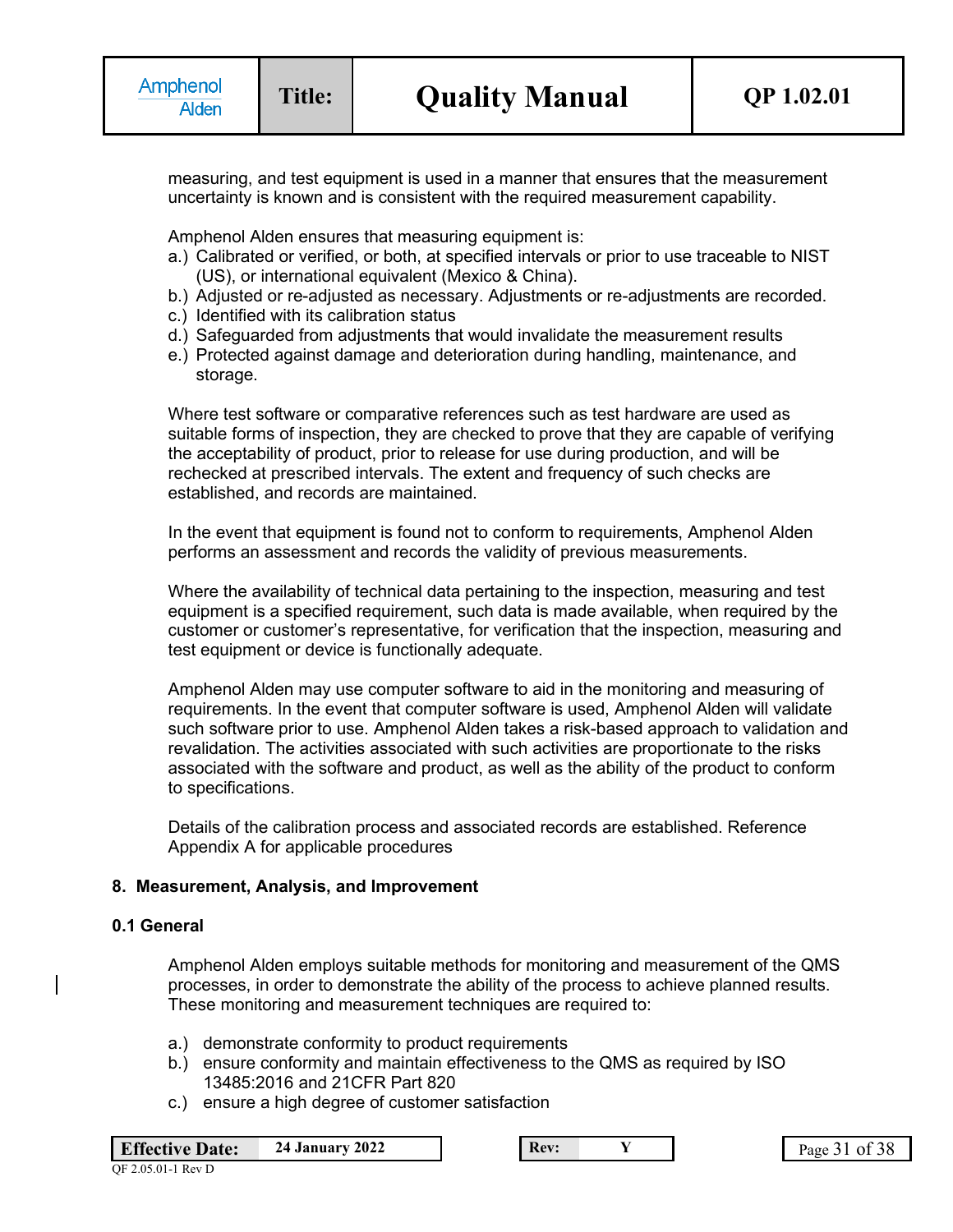measuring, and test equipment is used in a manner that ensures that the measurement uncertainty is known and is consistent with the required measurement capability.

Amphenol Alden ensures that measuring equipment is:

- a.) Calibrated or verified, or both, at specified intervals or prior to use traceable to NIST (US), or international equivalent (Mexico & China).
- b.) Adjusted or re-adjusted as necessary. Adjustments or re-adjustments are recorded.
- c.) Identified with its calibration status
- d.) Safeguarded from adjustments that would invalidate the measurement results
- e.) Protected against damage and deterioration during handling, maintenance, and storage.

Where test software or comparative references such as test hardware are used as suitable forms of inspection, they are checked to prove that they are capable of verifying the acceptability of product, prior to release for use during production, and will be rechecked at prescribed intervals. The extent and frequency of such checks are established, and records are maintained.

In the event that equipment is found not to conform to requirements, Amphenol Alden performs an assessment and records the validity of previous measurements.

Where the availability of technical data pertaining to the inspection, measuring and test equipment is a specified requirement, such data is made available, when required by the customer or customer's representative, for verification that the inspection, measuring and test equipment or device is functionally adequate.

Amphenol Alden may use computer software to aid in the monitoring and measuring of requirements. In the event that computer software is used, Amphenol Alden will validate such software prior to use. Amphenol Alden takes a risk-based approach to validation and revalidation. The activities associated with such activities are proportionate to the risks associated with the software and product, as well as the ability of the product to conform to specifications.

Details of the calibration process and associated records are established. Reference Appendix A for applicable procedures

#### **8. Measurement, Analysis, and Improvement**

#### **0.1 General**

Amphenol Alden employs suitable methods for monitoring and measurement of the QMS processes, in order to demonstrate the ability of the process to achieve planned results. These monitoring and measurement techniques are required to:

- a.) demonstrate conformity to product requirements
- b.) ensure conformity and maintain effectiveness to the QMS as required by ISO 13485:2016 and 21CFR Part 820
- c.) ensure a high degree of customer satisfaction

| <b>Effective Date:</b> | <b>24 January 2022</b> |
|------------------------|------------------------|
|                        |                        |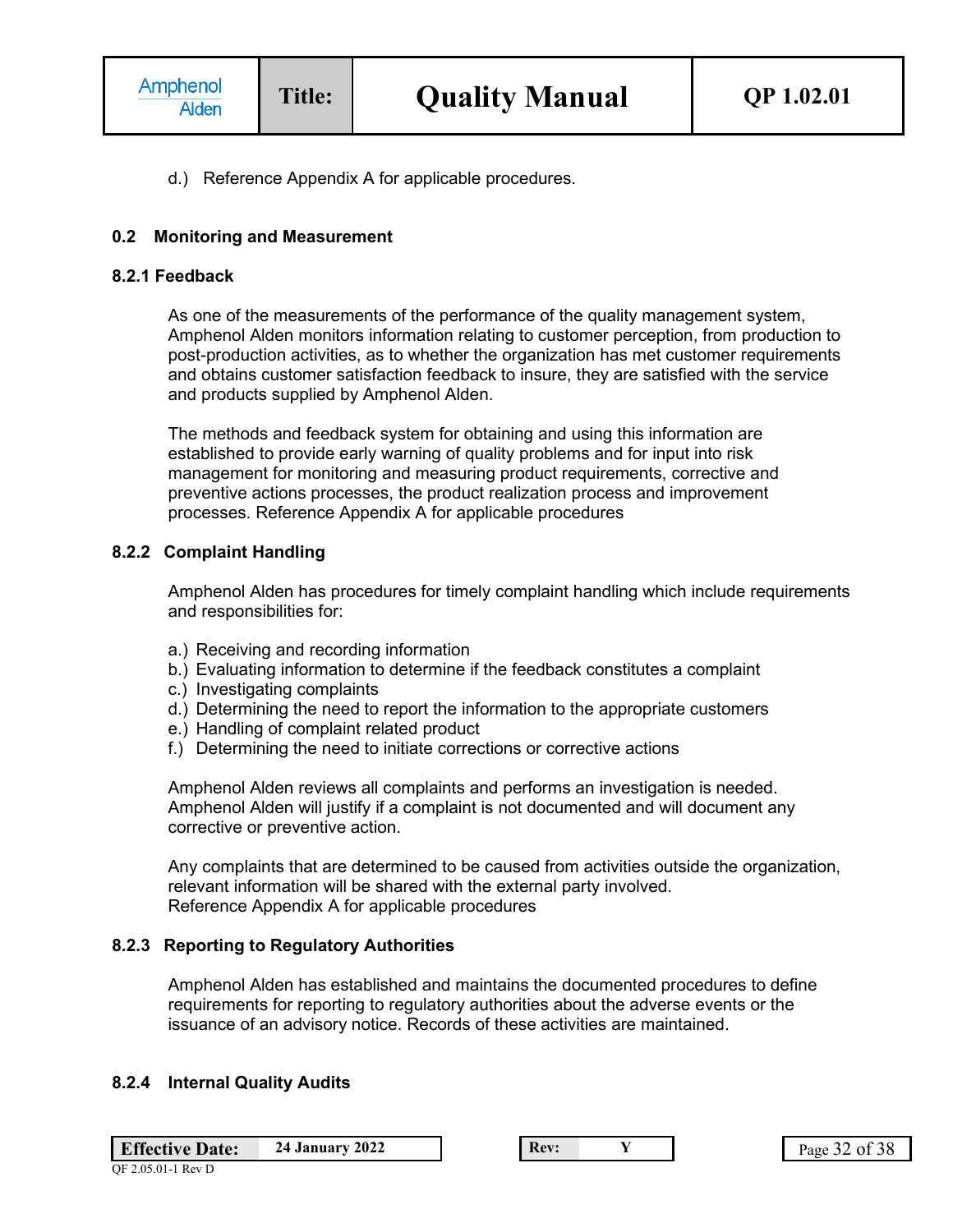d.) Reference Appendix A for applicable procedures.

### **0.2 Monitoring and Measurement**

#### **8.2.1 Feedback**

As one of the measurements of the performance of the quality management system, Amphenol Alden monitors information relating to customer perception, from production to post-production activities, as to whether the organization has met customer requirements and obtains customer satisfaction feedback to insure, they are satisfied with the service and products supplied by Amphenol Alden.

The methods and feedback system for obtaining and using this information are established to provide early warning of quality problems and for input into risk management for monitoring and measuring product requirements, corrective and preventive actions processes, the product realization process and improvement processes. Reference Appendix A for applicable procedures

#### **8.2.2 Complaint Handling**

Amphenol Alden has procedures for timely complaint handling which include requirements and responsibilities for:

- a.) Receiving and recording information
- b.) Evaluating information to determine if the feedback constitutes a complaint
- c.) Investigating complaints
- d.) Determining the need to report the information to the appropriate customers
- e.) Handling of complaint related product
- f.) Determining the need to initiate corrections or corrective actions

Amphenol Alden reviews all complaints and performs an investigation is needed. Amphenol Alden will justify if a complaint is not documented and will document any corrective or preventive action.

Any complaints that are determined to be caused from activities outside the organization, relevant information will be shared with the external party involved. Reference Appendix A for applicable procedures

### **8.2.3 Reporting to Regulatory Authorities**

Amphenol Alden has established and maintains the documented procedures to define requirements for reporting to regulatory authorities about the adverse events or the issuance of an advisory notice. Records of these activities are maintained.

#### **8.2.4 Internal Quality Audits**

**Effective Date:** 24 January 2022 **Rev: Rev: Y Rev: Page 32 of 38**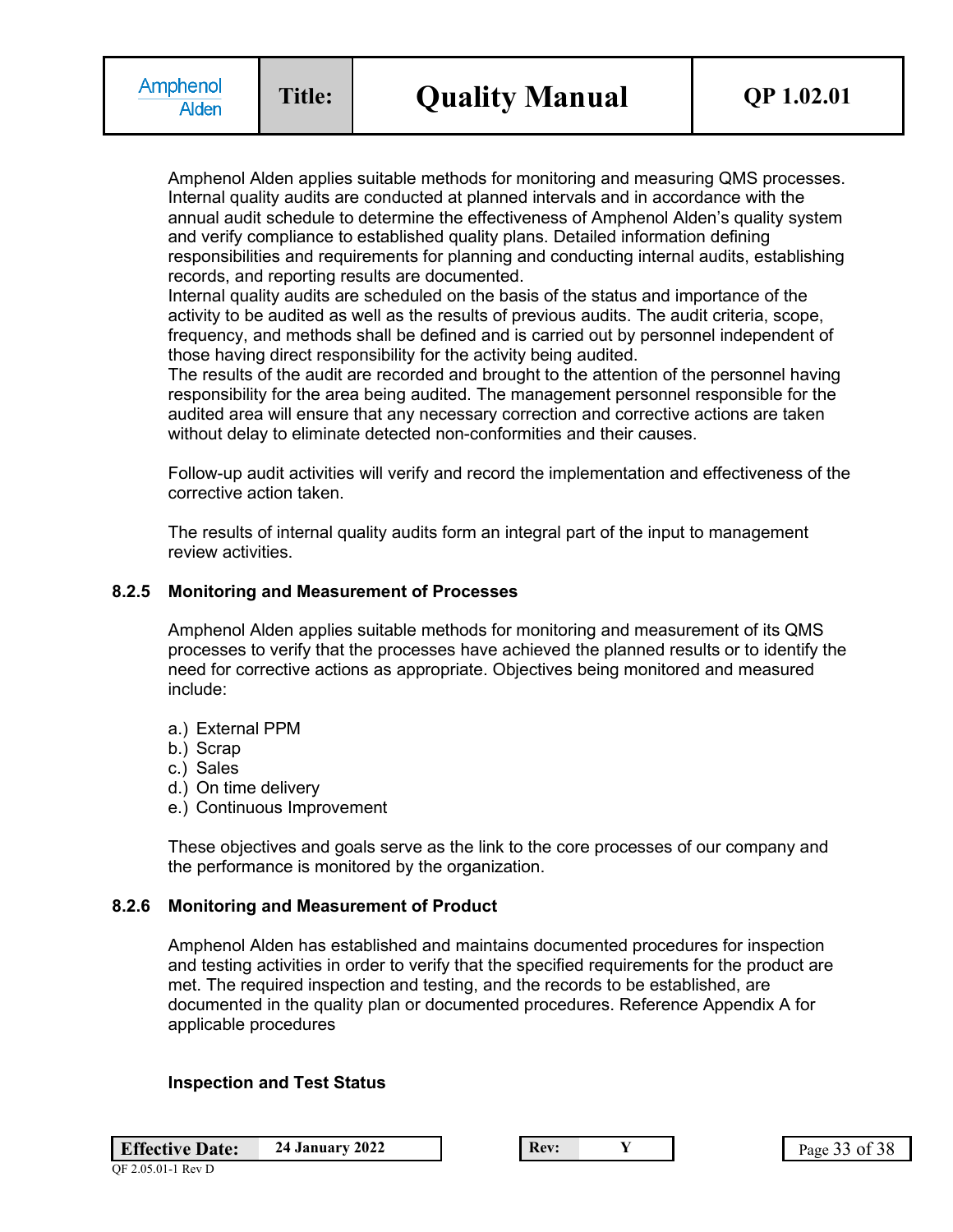Amphenol Alden applies suitable methods for monitoring and measuring QMS processes. Internal quality audits are conducted at planned intervals and in accordance with the annual audit schedule to determine the effectiveness of Amphenol Alden's quality system and verify compliance to established quality plans. Detailed information defining responsibilities and requirements for planning and conducting internal audits, establishing records, and reporting results are documented.

Internal quality audits are scheduled on the basis of the status and importance of the activity to be audited as well as the results of previous audits. The audit criteria, scope, frequency, and methods shall be defined and is carried out by personnel independent of those having direct responsibility for the activity being audited.

The results of the audit are recorded and brought to the attention of the personnel having responsibility for the area being audited. The management personnel responsible for the audited area will ensure that any necessary correction and corrective actions are taken without delay to eliminate detected non-conformities and their causes.

Follow-up audit activities will verify and record the implementation and effectiveness of the corrective action taken.

The results of internal quality audits form an integral part of the input to management review activities.

#### **8.2.5 Monitoring and Measurement of Processes**

Amphenol Alden applies suitable methods for monitoring and measurement of its QMS processes to verify that the processes have achieved the planned results or to identify the need for corrective actions as appropriate. Objectives being monitored and measured include:

- a.) External PPM
- b.) Scrap
- c.) Sales
- d.) On time delivery
- e.) Continuous Improvement

These objectives and goals serve as the link to the core processes of our company and the performance is monitored by the organization.

#### **8.2.6 Monitoring and Measurement of Product**

Amphenol Alden has established and maintains documented procedures for inspection and testing activities in order to verify that the specified requirements for the product are met. The required inspection and testing, and the records to be established, are documented in the quality plan or documented procedures. Reference Appendix A for applicable procedures

#### **Inspection and Test Status**

| <b>Effective Date:</b> | <b>24 January 2022</b> |
|------------------------|------------------------|
|                        |                        |

**Rev: 24 Page 33 of 38**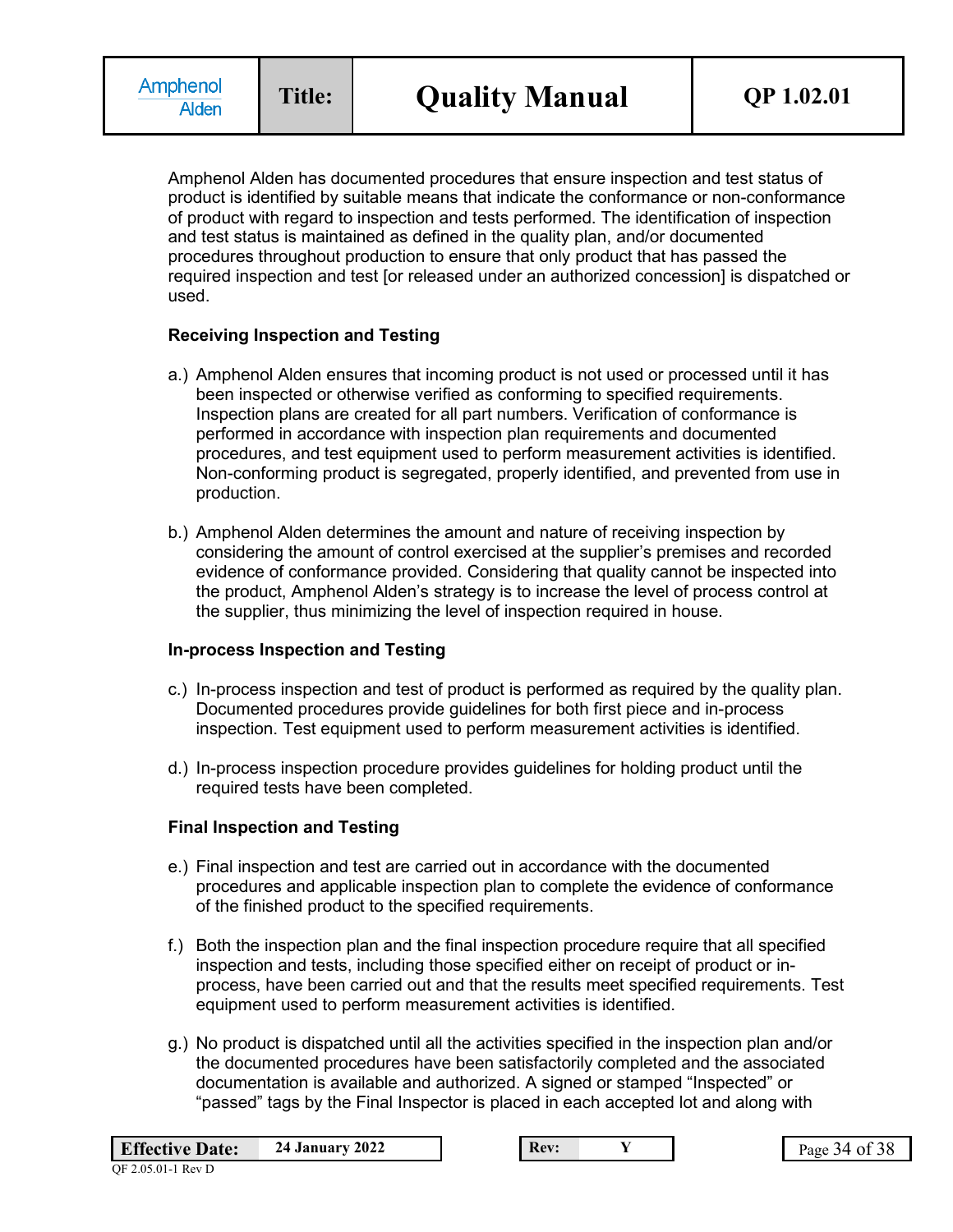Amphenol Alden has documented procedures that ensure inspection and test status of product is identified by suitable means that indicate the conformance or non-conformance of product with regard to inspection and tests performed. The identification of inspection and test status is maintained as defined in the quality plan, and/or documented procedures throughout production to ensure that only product that has passed the required inspection and test [or released under an authorized concession] is dispatched or used.

### **Receiving Inspection and Testing**

- a.) Amphenol Alden ensures that incoming product is not used or processed until it has been inspected or otherwise verified as conforming to specified requirements. Inspection plans are created for all part numbers. Verification of conformance is performed in accordance with inspection plan requirements and documented procedures, and test equipment used to perform measurement activities is identified. Non-conforming product is segregated, properly identified, and prevented from use in production.
- b.) Amphenol Alden determines the amount and nature of receiving inspection by considering the amount of control exercised at the supplier's premises and recorded evidence of conformance provided. Considering that quality cannot be inspected into the product, Amphenol Alden's strategy is to increase the level of process control at the supplier, thus minimizing the level of inspection required in house.

## **In-process Inspection and Testing**

- c.) In-process inspection and test of product is performed as required by the quality plan. Documented procedures provide guidelines for both first piece and in-process inspection. Test equipment used to perform measurement activities is identified.
- d.) In-process inspection procedure provides guidelines for holding product until the required tests have been completed.

## **Final Inspection and Testing**

- e.) Final inspection and test are carried out in accordance with the documented procedures and applicable inspection plan to complete the evidence of conformance of the finished product to the specified requirements.
- f.) Both the inspection plan and the final inspection procedure require that all specified inspection and tests, including those specified either on receipt of product or inprocess, have been carried out and that the results meet specified requirements. Test equipment used to perform measurement activities is identified.
- g.) No product is dispatched until all the activities specified in the inspection plan and/or the documented procedures have been satisfactorily completed and the associated documentation is available and authorized. A signed or stamped "Inspected" or "passed" tags by the Final Inspector is placed in each accepted lot and along with

| <b>Effective Date:</b> | <b>24 January 2022</b> |
|------------------------|------------------------|
| QF 2.05.01-1 Rev D     |                        |

**Rev: 2 Page 34 of 38**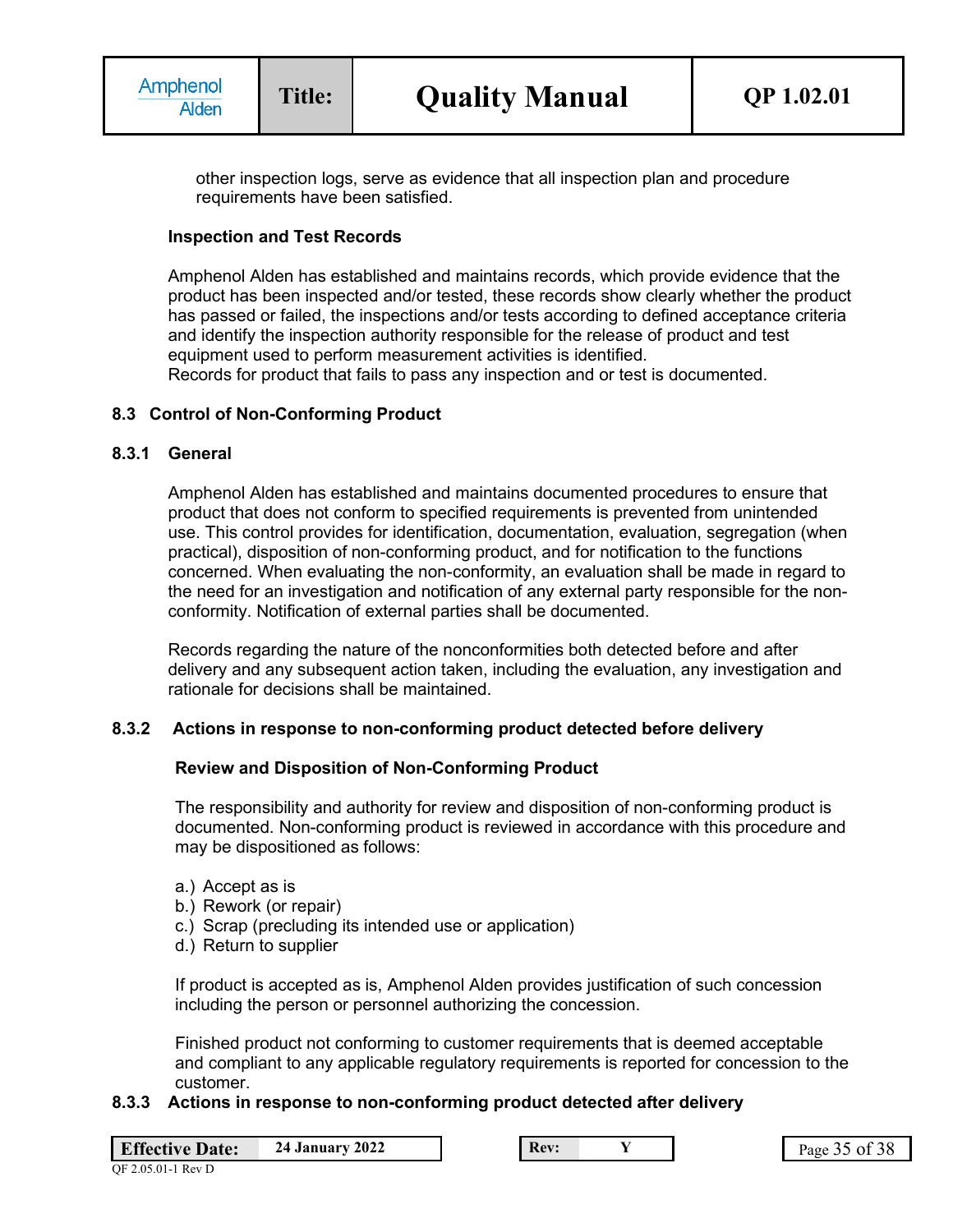other inspection logs, serve as evidence that all inspection plan and procedure requirements have been satisfied.

### **Inspection and Test Records**

Amphenol Alden has established and maintains records, which provide evidence that the product has been inspected and/or tested, these records show clearly whether the product has passed or failed, the inspections and/or tests according to defined acceptance criteria and identify the inspection authority responsible for the release of product and test equipment used to perform measurement activities is identified. Records for product that fails to pass any inspection and or test is documented.

### **8.3 Control of Non-Conforming Product**

#### **8.3.1 General**

Amphenol Alden has established and maintains documented procedures to ensure that product that does not conform to specified requirements is prevented from unintended use. This control provides for identification, documentation, evaluation, segregation (when practical), disposition of non-conforming product, and for notification to the functions concerned. When evaluating the non-conformity, an evaluation shall be made in regard to the need for an investigation and notification of any external party responsible for the nonconformity. Notification of external parties shall be documented.

Records regarding the nature of the nonconformities both detected before and after delivery and any subsequent action taken, including the evaluation, any investigation and rationale for decisions shall be maintained.

#### **8.3.2 Actions in response to non-conforming product detected before delivery**

#### **Review and Disposition of Non-Conforming Product**

The responsibility and authority for review and disposition of non-conforming product is documented. Non-conforming product is reviewed in accordance with this procedure and may be dispositioned as follows:

- a.) Accept as is
- b.) Rework (or repair)
- c.) Scrap (precluding its intended use or application)
- d.) Return to supplier

If product is accepted as is, Amphenol Alden provides justification of such concession including the person or personnel authorizing the concession.

Finished product not conforming to customer requirements that is deemed acceptable and compliant to any applicable regulatory requirements is reported for concession to the customer.

## **8.3.3 Actions in response to non-conforming product detected after delivery**

|  | <b>Effective Date:</b> | <b>24 January 2022</b> |
|--|------------------------|------------------------|
|--|------------------------|------------------------|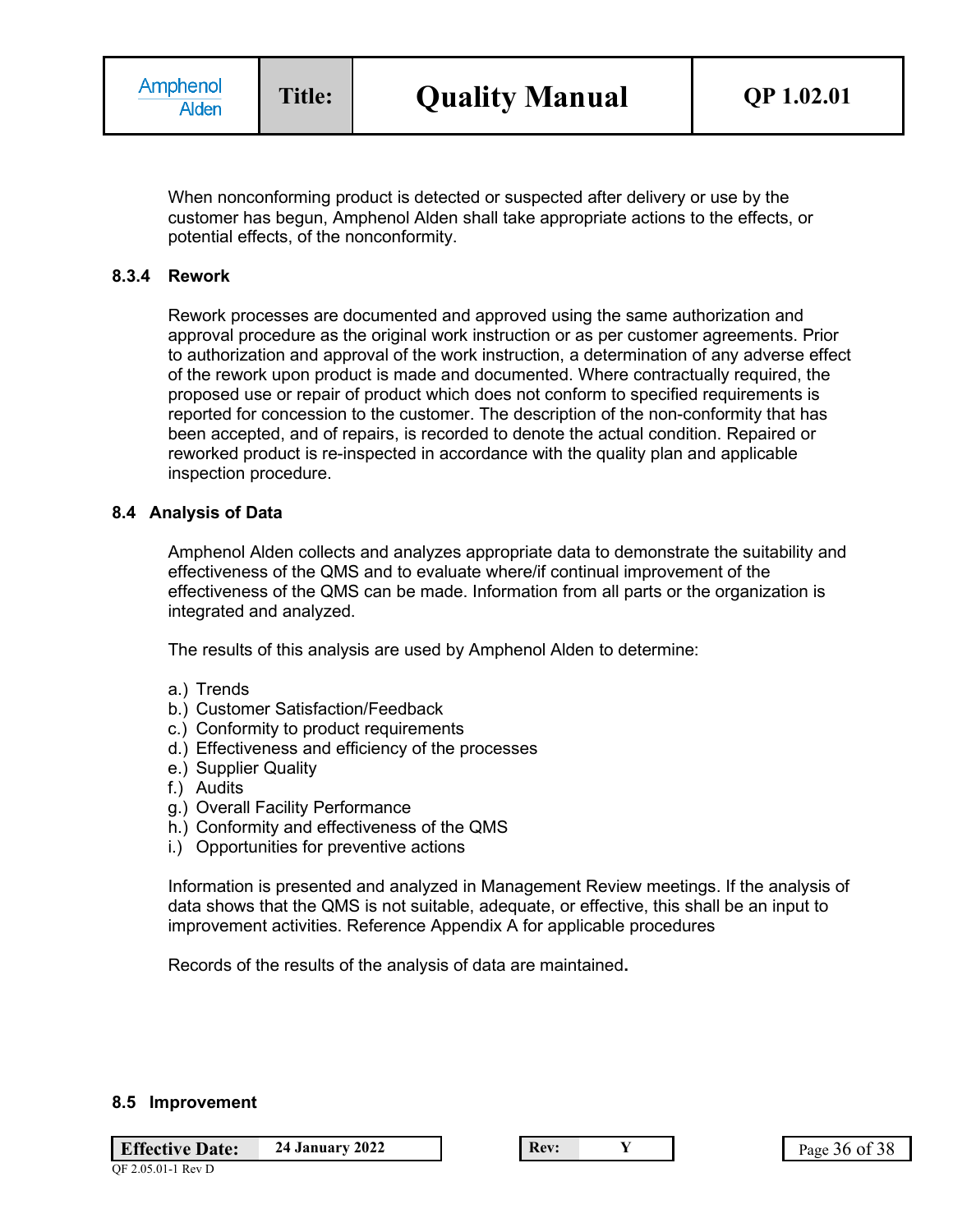When nonconforming product is detected or suspected after delivery or use by the customer has begun, Amphenol Alden shall take appropriate actions to the effects, or potential effects, of the nonconformity.

#### **8.3.4 Rework**

Rework processes are documented and approved using the same authorization and approval procedure as the original work instruction or as per customer agreements. Prior to authorization and approval of the work instruction, a determination of any adverse effect of the rework upon product is made and documented. Where contractually required, the proposed use or repair of product which does not conform to specified requirements is reported for concession to the customer. The description of the non-conformity that has been accepted, and of repairs, is recorded to denote the actual condition. Repaired or reworked product is re-inspected in accordance with the quality plan and applicable inspection procedure.

#### **8.4 Analysis of Data**

Amphenol Alden collects and analyzes appropriate data to demonstrate the suitability and effectiveness of the QMS and to evaluate where/if continual improvement of the effectiveness of the QMS can be made. Information from all parts or the organization is integrated and analyzed.

The results of this analysis are used by Amphenol Alden to determine:

- a.) Trends
- b.) Customer Satisfaction/Feedback
- c.) Conformity to product requirements
- d.) Effectiveness and efficiency of the processes
- e.) Supplier Quality
- f.) Audits
- g.) Overall Facility Performance
- h.) Conformity and effectiveness of the QMS
- i.) Opportunities for preventive actions

Information is presented and analyzed in Management Review meetings. If the analysis of data shows that the QMS is not suitable, adequate, or effective, this shall be an input to improvement activities. Reference Appendix A for applicable procedures

Records of the results of the analysis of data are maintained**.**

#### **8.5 Improvement**

**Effective Date:** 24 January 2022 **Rev: Rev: Y Rev: Page 36 of 38** 

QF 2.05.01-1 Rev D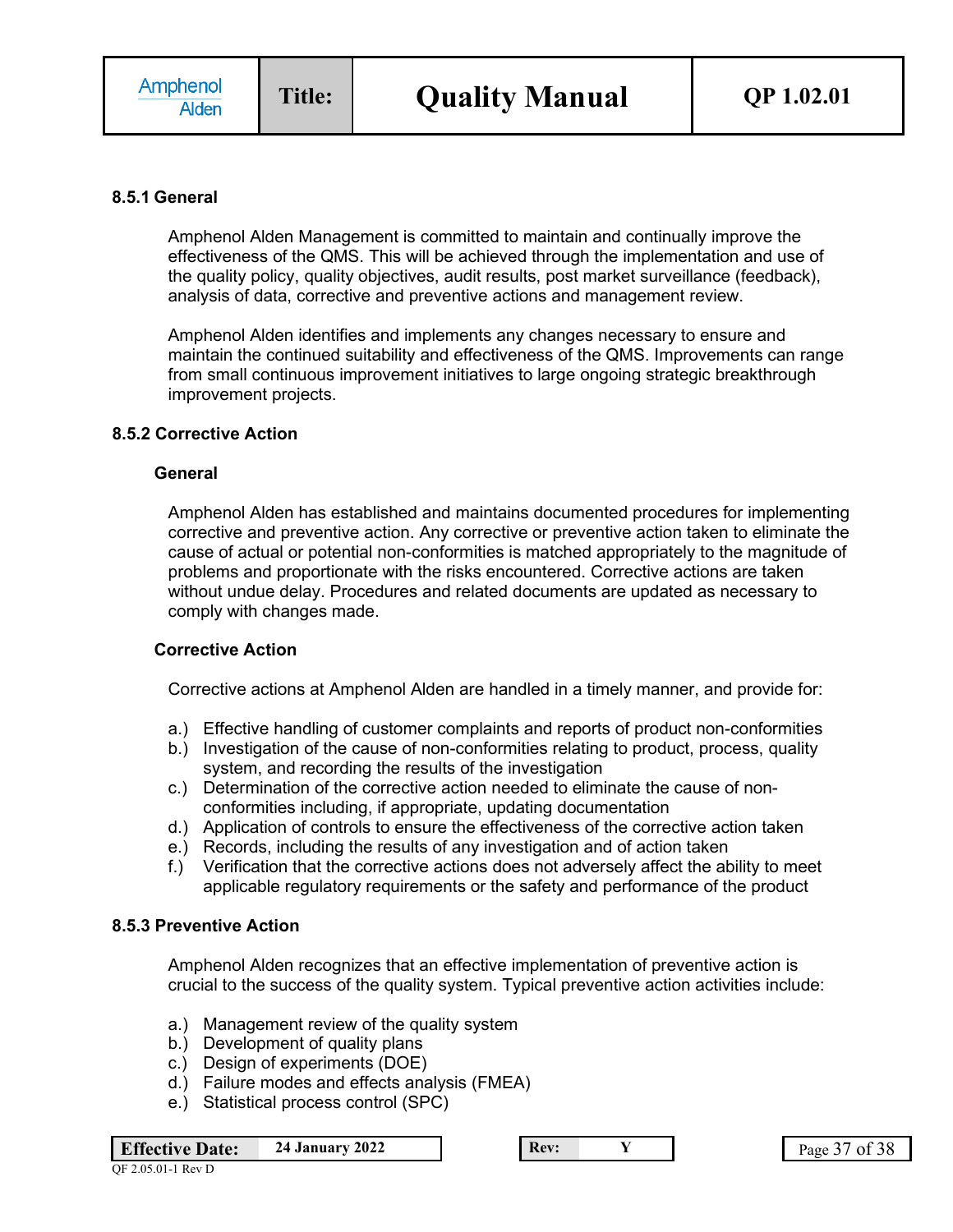#### **8.5.1 General**

Amphenol Alden Management is committed to maintain and continually improve the effectiveness of the QMS. This will be achieved through the implementation and use of the quality policy, quality objectives, audit results, post market surveillance (feedback), analysis of data, corrective and preventive actions and management review.

Amphenol Alden identifies and implements any changes necessary to ensure and maintain the continued suitability and effectiveness of the QMS. Improvements can range from small continuous improvement initiatives to large ongoing strategic breakthrough improvement projects.

#### **8.5.2 Corrective Action**

#### **General**

Amphenol Alden has established and maintains documented procedures for implementing corrective and preventive action. Any corrective or preventive action taken to eliminate the cause of actual or potential non-conformities is matched appropriately to the magnitude of problems and proportionate with the risks encountered. Corrective actions are taken without undue delay. Procedures and related documents are updated as necessary to comply with changes made.

#### **Corrective Action**

Corrective actions at Amphenol Alden are handled in a timely manner, and provide for:

- a.) Effective handling of customer complaints and reports of product non-conformities
- b.) Investigation of the cause of non-conformities relating to product, process, quality system, and recording the results of the investigation
- c.) Determination of the corrective action needed to eliminate the cause of nonconformities including, if appropriate, updating documentation
- d.) Application of controls to ensure the effectiveness of the corrective action taken
- e.) Records, including the results of any investigation and of action taken
- f.) Verification that the corrective actions does not adversely affect the ability to meet applicable regulatory requirements or the safety and performance of the product

#### **8.5.3 Preventive Action**

Amphenol Alden recognizes that an effective implementation of preventive action is crucial to the success of the quality system. Typical preventive action activities include:

- a.) Management review of the quality system
- b.) Development of quality plans
- c.) Design of experiments (DOE)
- d.) Failure modes and effects analysis (FMEA)
- e.) Statistical process control (SPC)